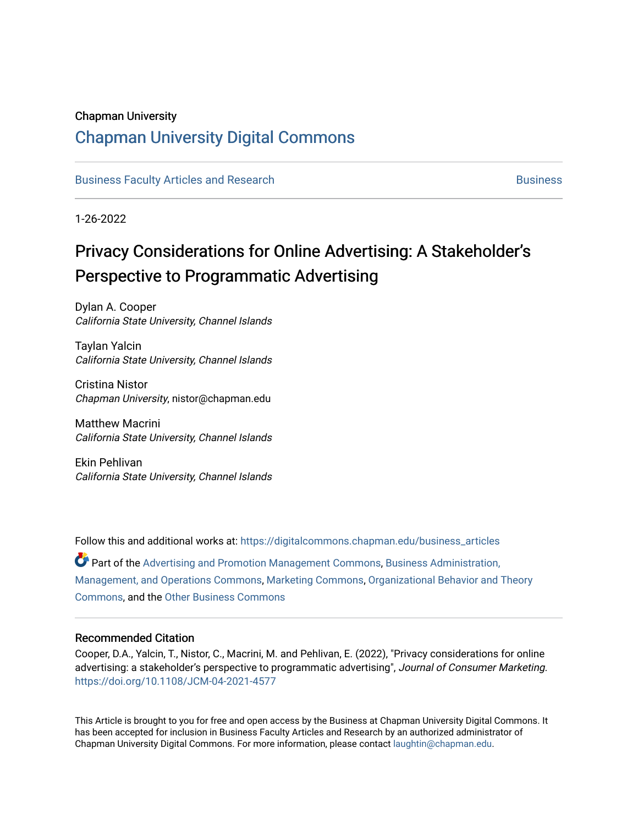#### Chapman University

## [Chapman University Digital Commons](https://digitalcommons.chapman.edu/)

[Business Faculty Articles and Research](https://digitalcommons.chapman.edu/business_articles) [Business](https://digitalcommons.chapman.edu/business) **Business** Business

1-26-2022

# Privacy Considerations for Online Advertising: A Stakeholder's Perspective to Programmatic Advertising

Dylan A. Cooper California State University, Channel Islands

Taylan Yalcin California State University, Channel Islands

Cristina Nistor Chapman University, nistor@chapman.edu

Matthew Macrini California State University, Channel Islands

Ekin Pehlivan California State University, Channel Islands

Follow this and additional works at: [https://digitalcommons.chapman.edu/business\\_articles](https://digitalcommons.chapman.edu/business_articles?utm_source=digitalcommons.chapman.edu%2Fbusiness_articles%2F135&utm_medium=PDF&utm_campaign=PDFCoverPages)  Part of the [Advertising and Promotion Management Commons,](http://network.bepress.com/hgg/discipline/626?utm_source=digitalcommons.chapman.edu%2Fbusiness_articles%2F135&utm_medium=PDF&utm_campaign=PDFCoverPages) [Business Administration,](http://network.bepress.com/hgg/discipline/623?utm_source=digitalcommons.chapman.edu%2Fbusiness_articles%2F135&utm_medium=PDF&utm_campaign=PDFCoverPages) [Management, and Operations Commons](http://network.bepress.com/hgg/discipline/623?utm_source=digitalcommons.chapman.edu%2Fbusiness_articles%2F135&utm_medium=PDF&utm_campaign=PDFCoverPages), [Marketing Commons](http://network.bepress.com/hgg/discipline/638?utm_source=digitalcommons.chapman.edu%2Fbusiness_articles%2F135&utm_medium=PDF&utm_campaign=PDFCoverPages), [Organizational Behavior and Theory](http://network.bepress.com/hgg/discipline/639?utm_source=digitalcommons.chapman.edu%2Fbusiness_articles%2F135&utm_medium=PDF&utm_campaign=PDFCoverPages) [Commons](http://network.bepress.com/hgg/discipline/639?utm_source=digitalcommons.chapman.edu%2Fbusiness_articles%2F135&utm_medium=PDF&utm_campaign=PDFCoverPages), and the [Other Business Commons](http://network.bepress.com/hgg/discipline/647?utm_source=digitalcommons.chapman.edu%2Fbusiness_articles%2F135&utm_medium=PDF&utm_campaign=PDFCoverPages) 

#### Recommended Citation

Cooper, D.A., Yalcin, T., Nistor, C., Macrini, M. and Pehlivan, E. (2022), "Privacy considerations for online advertising: a stakeholder's perspective to programmatic advertising", Journal of Consumer Marketing. <https://doi.org/10.1108/JCM-04-2021-4577>

This Article is brought to you for free and open access by the Business at Chapman University Digital Commons. It has been accepted for inclusion in Business Faculty Articles and Research by an authorized administrator of Chapman University Digital Commons. For more information, please contact [laughtin@chapman.edu](mailto:laughtin@chapman.edu).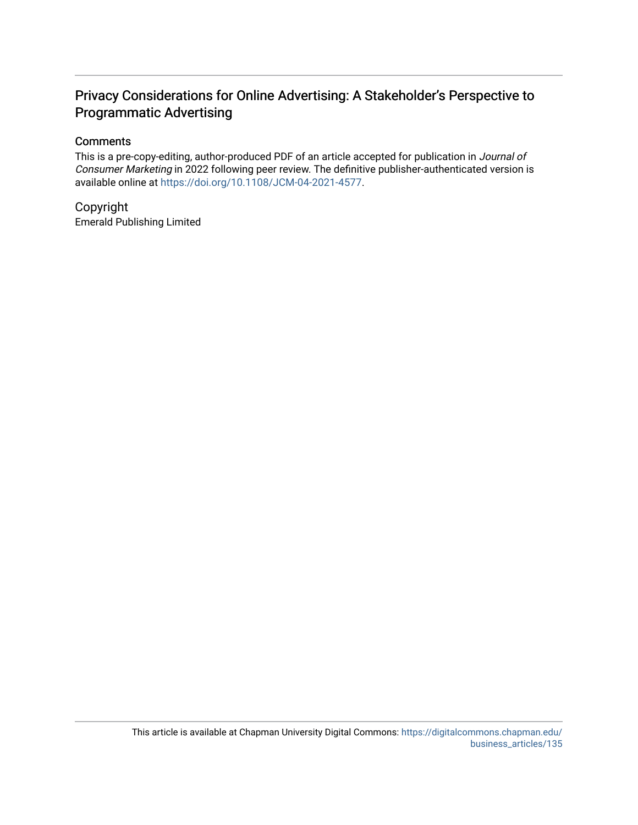## Privacy Considerations for Online Advertising: A Stakeholder's Perspective to Programmatic Advertising

### **Comments**

This is a pre-copy-editing, author-produced PDF of an article accepted for publication in Journal of Consumer Marketing in 2022 following peer review. The definitive publisher-authenticated version is available online at<https://doi.org/10.1108/JCM-04-2021-4577>.

Copyright Emerald Publishing Limited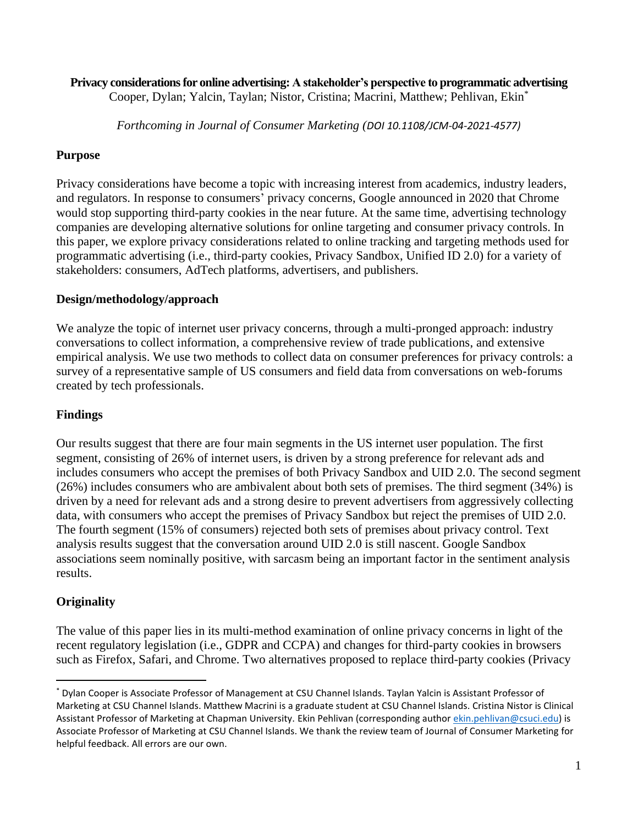# **Privacy considerations for online advertising: A stakeholder's perspective to programmatic advertising**

Cooper, Dylan; Yalcin, Taylan; Nistor, Cristina; Macrini, Matthew; Pehlivan, Ekin\*

*Forthcoming in Journal of Consumer Marketing (DOI 10.1108/JCM-04-2021-4577)*

## **Purpose**

Privacy considerations have become a topic with increasing interest from academics, industry leaders, and regulators. In response to consumers' privacy concerns, Google announced in 2020 that Chrome would stop supporting third-party cookies in the near future. At the same time, advertising technology companies are developing alternative solutions for online targeting and consumer privacy controls. In this paper, we explore privacy considerations related to online tracking and targeting methods used for programmatic advertising (i.e., third-party cookies, Privacy Sandbox, Unified ID 2.0) for a variety of stakeholders: consumers, AdTech platforms, advertisers, and publishers.

## **Design/methodology/approach**

We analyze the topic of internet user privacy concerns, through a multi-pronged approach: industry conversations to collect information, a comprehensive review of trade publications, and extensive empirical analysis. We use two methods to collect data on consumer preferences for privacy controls: a survey of a representative sample of US consumers and field data from conversations on web-forums created by tech professionals.

## **Findings**

Our results suggest that there are four main segments in the US internet user population. The first segment, consisting of 26% of internet users, is driven by a strong preference for relevant ads and includes consumers who accept the premises of both Privacy Sandbox and UID 2.0. The second segment (26%) includes consumers who are ambivalent about both sets of premises. The third segment (34%) is driven by a need for relevant ads and a strong desire to prevent advertisers from aggressively collecting data, with consumers who accept the premises of Privacy Sandbox but reject the premises of UID 2.0. The fourth segment (15% of consumers) rejected both sets of premises about privacy control. Text analysis results suggest that the conversation around UID 2.0 is still nascent. Google Sandbox associations seem nominally positive, with sarcasm being an important factor in the sentiment analysis results.

## **Originality**

The value of this paper lies in its multi-method examination of online privacy concerns in light of the recent regulatory legislation (i.e., GDPR and CCPA) and changes for third-party cookies in browsers such as Firefox, Safari, and Chrome. Two alternatives proposed to replace third-party cookies (Privacy

<sup>\*</sup> Dylan Cooper is Associate Professor of Management at CSU Channel Islands. Taylan Yalcin is Assistant Professor of Marketing at CSU Channel Islands. Matthew Macrini is a graduate student at CSU Channel Islands. Cristina Nistor is Clinical Assistant Professor of Marketing at Chapman University. Ekin Pehlivan (corresponding author [ekin.pehlivan@csuci.edu\)](mailto:ekin.pehlivan@csuci.edu) is Associate Professor of Marketing at CSU Channel Islands. We thank the review team of Journal of Consumer Marketing for helpful feedback. All errors are our own.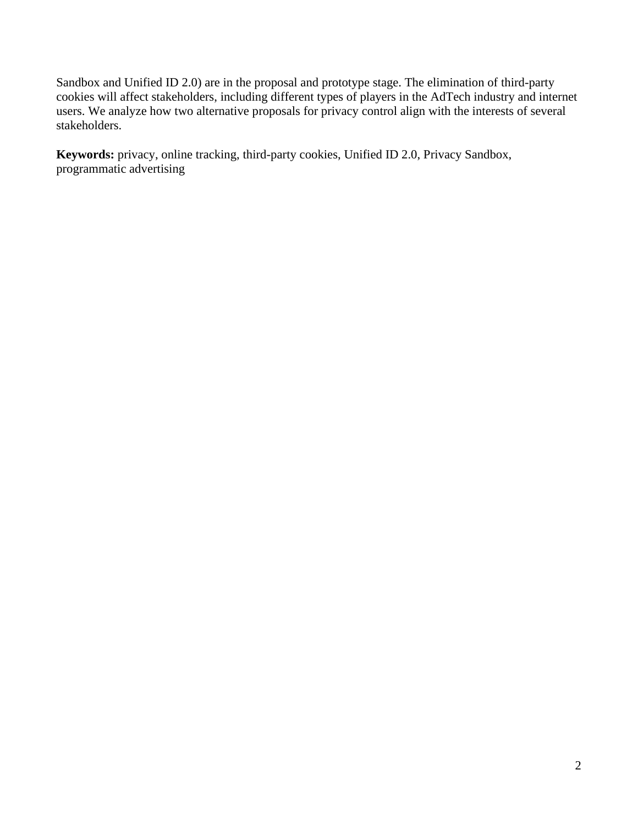Sandbox and Unified ID 2.0) are in the proposal and prototype stage. The elimination of third-party cookies will affect stakeholders, including different types of players in the AdTech industry and internet users. We analyze how two alternative proposals for privacy control align with the interests of several stakeholders.

**Keywords:** privacy, online tracking, third-party cookies, Unified ID 2.0, Privacy Sandbox, programmatic advertising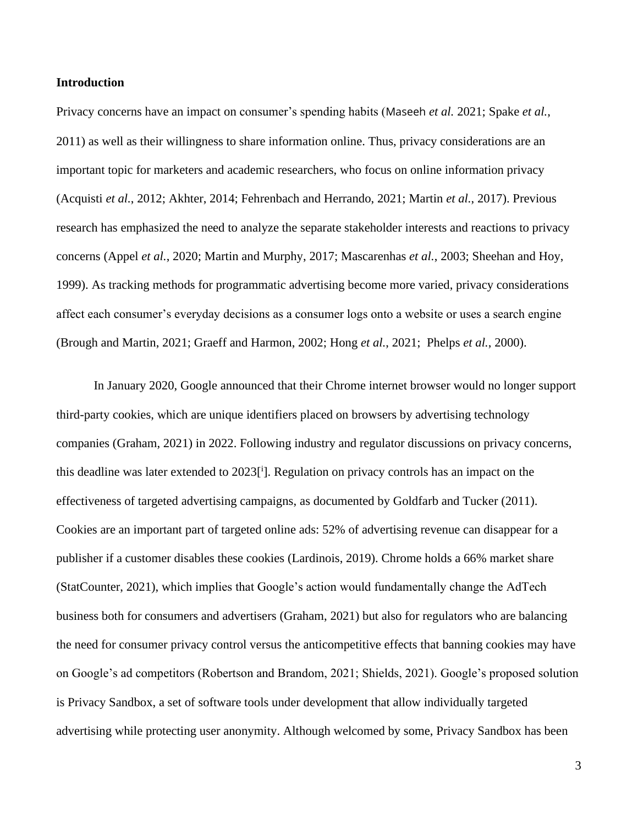#### **Introduction**

Privacy concerns have an impact on consumer's spending habits (Maseeh *et al.* 2021; Spake *et al.*, 2011) as well as their willingness to share information online. Thus, privacy considerations are an important topic for marketers and academic researchers, who focus on online information privacy (Acquisti *et al.*, 2012; Akhter, 2014; Fehrenbach and Herrando, 2021; Martin *et al.*, 2017). Previous research has emphasized the need to analyze the separate stakeholder interests and reactions to privacy concerns (Appel *et al.*, 2020; Martin and Murphy, 2017; Mascarenhas *et al.*, 2003; Sheehan and Hoy, 1999). As tracking methods for programmatic advertising become more varied, privacy considerations affect each consumer's everyday decisions as a consumer logs onto a website or uses a search engine (Brough and Martin, 2021; Graeff and Harmon, 2002; Hong *et al.*, 2021; Phelps *et al.*, 2000).

In January 2020, Google announced that their Chrome internet browser would no longer support third-party cookies, which are unique identifiers placed on browsers by advertising technology companies (Graham, 2021) in 2022. Following industry and regulator discussions on privacy concerns, this deadline was later extended to 2023<sup>[i</sup>]. Regulation on privacy controls has an impact on the effectiveness of targeted advertising campaigns, as documented by Goldfarb and Tucker (2011). Cookies are an important part of targeted online ads: 52% of advertising revenue can disappear for a publisher if a customer disables these cookies (Lardinois, 2019). Chrome holds a 66% market share (StatCounter, 2021), which implies that Google's action would fundamentally change the AdTech business both for consumers and advertisers (Graham, 2021) but also for regulators who are balancing the need for consumer privacy control versus the anticompetitive effects that banning cookies may have on Google's ad competitors (Robertson and Brandom, 2021; Shields, 2021). Google's proposed solution is Privacy Sandbox, a set of software tools under development that allow individually targeted advertising while protecting user anonymity. Although welcomed by some, Privacy Sandbox has been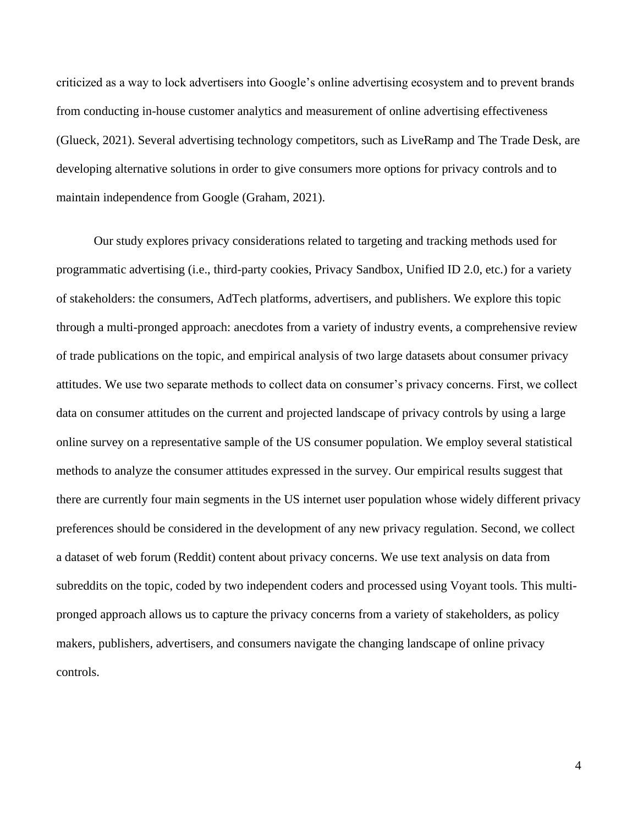criticized as a way to lock advertisers into Google's online advertising ecosystem and to prevent brands from conducting in-house customer analytics and measurement of online advertising effectiveness (Glueck, 2021). Several advertising technology competitors, such as LiveRamp and The Trade Desk, are developing alternative solutions in order to give consumers more options for privacy controls and to maintain independence from Google (Graham, 2021).

Our study explores privacy considerations related to targeting and tracking methods used for programmatic advertising (i.e., third-party cookies, Privacy Sandbox, Unified ID 2.0, etc.) for a variety of stakeholders: the consumers, AdTech platforms, advertisers, and publishers. We explore this topic through a multi-pronged approach: anecdotes from a variety of industry events, a comprehensive review of trade publications on the topic, and empirical analysis of two large datasets about consumer privacy attitudes. We use two separate methods to collect data on consumer's privacy concerns. First, we collect data on consumer attitudes on the current and projected landscape of privacy controls by using a large online survey on a representative sample of the US consumer population. We employ several statistical methods to analyze the consumer attitudes expressed in the survey. Our empirical results suggest that there are currently four main segments in the US internet user population whose widely different privacy preferences should be considered in the development of any new privacy regulation. Second, we collect a dataset of web forum (Reddit) content about privacy concerns. We use text analysis on data from subreddits on the topic, coded by two independent coders and processed using Voyant tools. This multipronged approach allows us to capture the privacy concerns from a variety of stakeholders, as policy makers, publishers, advertisers, and consumers navigate the changing landscape of online privacy controls.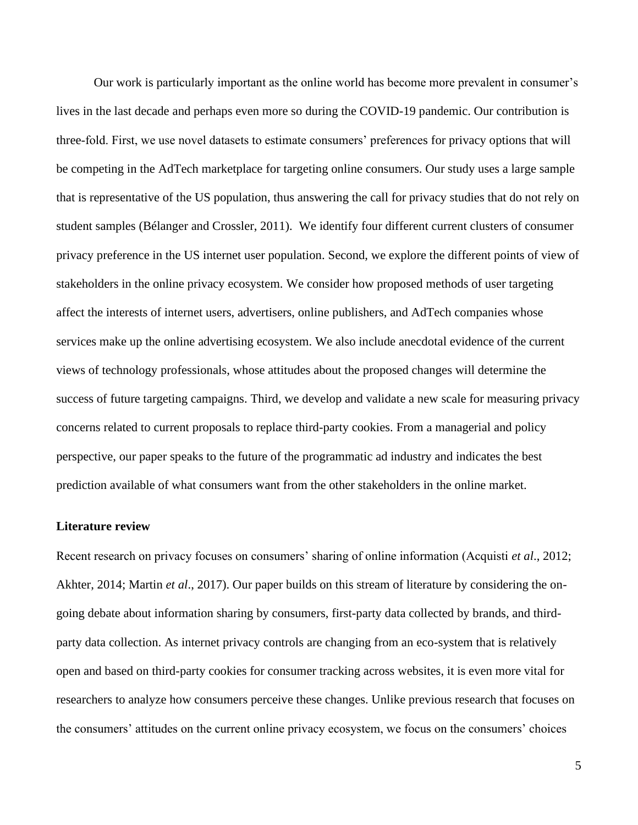Our work is particularly important as the online world has become more prevalent in consumer's lives in the last decade and perhaps even more so during the COVID-19 pandemic. Our contribution is three-fold. First, we use novel datasets to estimate consumers' preferences for privacy options that will be competing in the AdTech marketplace for targeting online consumers. Our study uses a large sample that is representative of the US population, thus answering the call for privacy studies that do not rely on student samples (Bélanger and Crossler, 2011). We identify four different current clusters of consumer privacy preference in the US internet user population. Second, we explore the different points of view of stakeholders in the online privacy ecosystem. We consider how proposed methods of user targeting affect the interests of internet users, advertisers, online publishers, and AdTech companies whose services make up the online advertising ecosystem. We also include anecdotal evidence of the current views of technology professionals, whose attitudes about the proposed changes will determine the success of future targeting campaigns. Third, we develop and validate a new scale for measuring privacy concerns related to current proposals to replace third-party cookies. From a managerial and policy perspective, our paper speaks to the future of the programmatic ad industry and indicates the best prediction available of what consumers want from the other stakeholders in the online market.

#### **Literature review**

Recent research on privacy focuses on consumers' sharing of online information (Acquisti *et al*., 2012; Akhter, 2014; Martin *et al*., 2017). Our paper builds on this stream of literature by considering the ongoing debate about information sharing by consumers, first-party data collected by brands, and thirdparty data collection. As internet privacy controls are changing from an eco-system that is relatively open and based on third-party cookies for consumer tracking across websites, it is even more vital for researchers to analyze how consumers perceive these changes. Unlike previous research that focuses on the consumers' attitudes on the current online privacy ecosystem, we focus on the consumers' choices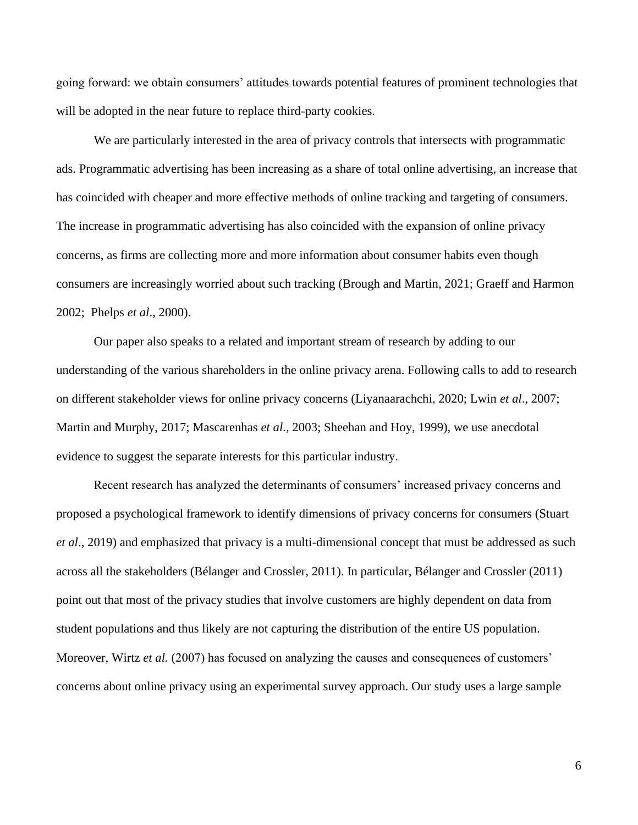going forward: we obtain consumers' attitudes towards potential features of prominent technologies that will be adopted in the near future to replace third-party cookies.

We are particularly interested in the area of privacy controls that intersects with programmatic ads. Programmatic advertising has been increasing as a share of total online advertising, an increase that has coincided with cheaper and more effective methods of online tracking and targeting of consumers. The increase in programmatic advertising has also coincided with the expansion of online privacy concerns, as firms are collecting more and more information about consumer habits even though consumers are increasingly worried about such tracking (Brough and Martin, 2021; Graeff and Harmon 2002; Phelps *et al*., 2000).

Our paper also speaks to a related and important stream of research by adding to our understanding of the various shareholders in the online privacy arena. Following calls to add to research on different stakeholder views for online privacy concerns (Liyanaarachchi, 2020; Lwin *et al*., 2007; Martin and Murphy, 2017; Mascarenhas *et al*., 2003; Sheehan and Hoy, 1999), we use anecdotal evidence to suggest the separate interests for this particular industry.

Recent research has analyzed the determinants of consumers' increased privacy concerns and proposed a psychological framework to identify dimensions of privacy concerns for consumers (Stuart *et al*., 2019) and emphasized that privacy is a multi-dimensional concept that must be addressed as such across all the stakeholders (Bélanger and Crossler, 2011). In particular, Bélanger and Crossler (2011) point out that most of the privacy studies that involve customers are highly dependent on data from student populations and thus likely are not capturing the distribution of the entire US population. Moreover, Wirtz *et al.* (2007) has focused on analyzing the causes and consequences of customers' concerns about online privacy using an experimental survey approach. Our study uses a large sample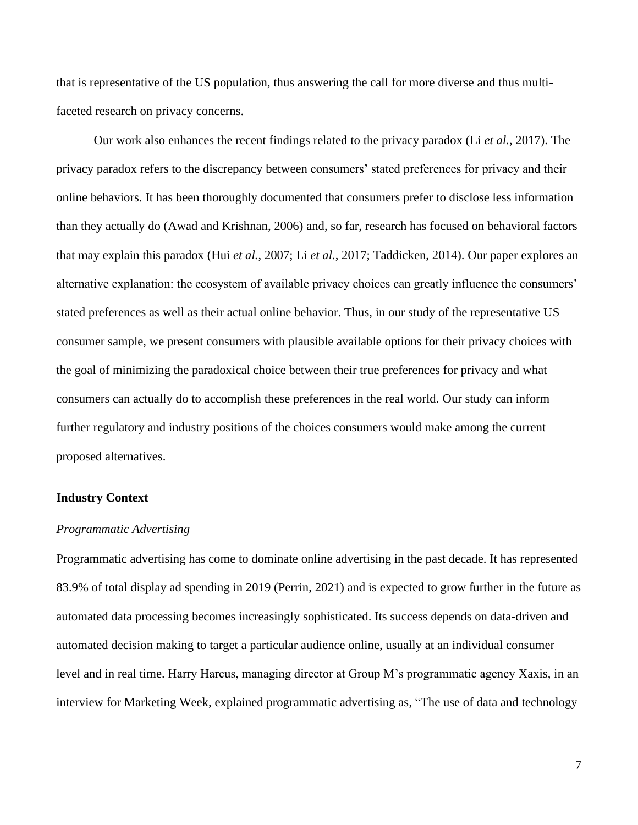that is representative of the US population, thus answering the call for more diverse and thus multifaceted research on privacy concerns.

Our work also enhances the recent findings related to the privacy paradox (Li *et al.*, 2017). The privacy paradox refers to the discrepancy between consumers' stated preferences for privacy and their online behaviors. It has been thoroughly documented that consumers prefer to disclose less information than they actually do (Awad and Krishnan, 2006) and, so far, research has focused on behavioral factors that may explain this paradox (Hui *et al.*, 2007; Li *et al.*, 2017; Taddicken, 2014). Our paper explores an alternative explanation: the ecosystem of available privacy choices can greatly influence the consumers' stated preferences as well as their actual online behavior. Thus, in our study of the representative US consumer sample, we present consumers with plausible available options for their privacy choices with the goal of minimizing the paradoxical choice between their true preferences for privacy and what consumers can actually do to accomplish these preferences in the real world. Our study can inform further regulatory and industry positions of the choices consumers would make among the current proposed alternatives.

#### **Industry Context**

#### *Programmatic Advertising*

Programmatic advertising has come to dominate online advertising in the past decade. It has represented 83.9% of total display ad spending in 2019 (Perrin, 2021) and is expected to grow further in the future as automated data processing becomes increasingly sophisticated. Its success depends on data-driven and automated decision making to target a particular audience online, usually at an individual consumer level and in real time. Harry Harcus, managing director at Group M's programmatic agency Xaxis, in an interview for Marketing Week, explained programmatic advertising as, "The use of data and technology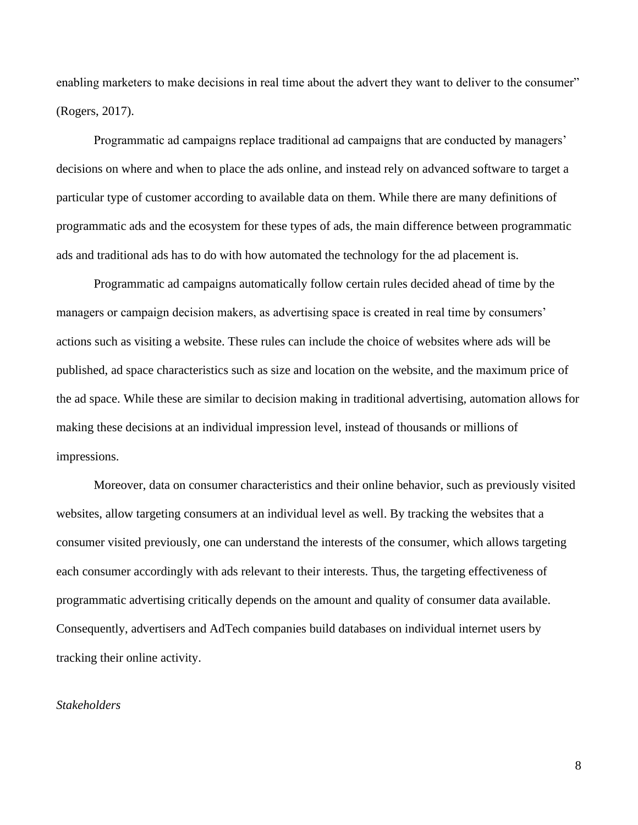enabling marketers to make decisions in real time about the advert they want to deliver to the consumer" (Rogers, 2017).

Programmatic ad campaigns replace traditional ad campaigns that are conducted by managers' decisions on where and when to place the ads online, and instead rely on advanced software to target a particular type of customer according to available data on them. While there are many definitions of programmatic ads and the ecosystem for these types of ads, the main difference between programmatic ads and traditional ads has to do with how automated the technology for the ad placement is.

Programmatic ad campaigns automatically follow certain rules decided ahead of time by the managers or campaign decision makers, as advertising space is created in real time by consumers' actions such as visiting a website. These rules can include the choice of websites where ads will be published, ad space characteristics such as size and location on the website, and the maximum price of the ad space. While these are similar to decision making in traditional advertising, automation allows for making these decisions at an individual impression level, instead of thousands or millions of impressions.

Moreover, data on consumer characteristics and their online behavior, such as previously visited websites, allow targeting consumers at an individual level as well. By tracking the websites that a consumer visited previously, one can understand the interests of the consumer, which allows targeting each consumer accordingly with ads relevant to their interests. Thus, the targeting effectiveness of programmatic advertising critically depends on the amount and quality of consumer data available. Consequently, advertisers and AdTech companies build databases on individual internet users by tracking their online activity.

#### *Stakeholders*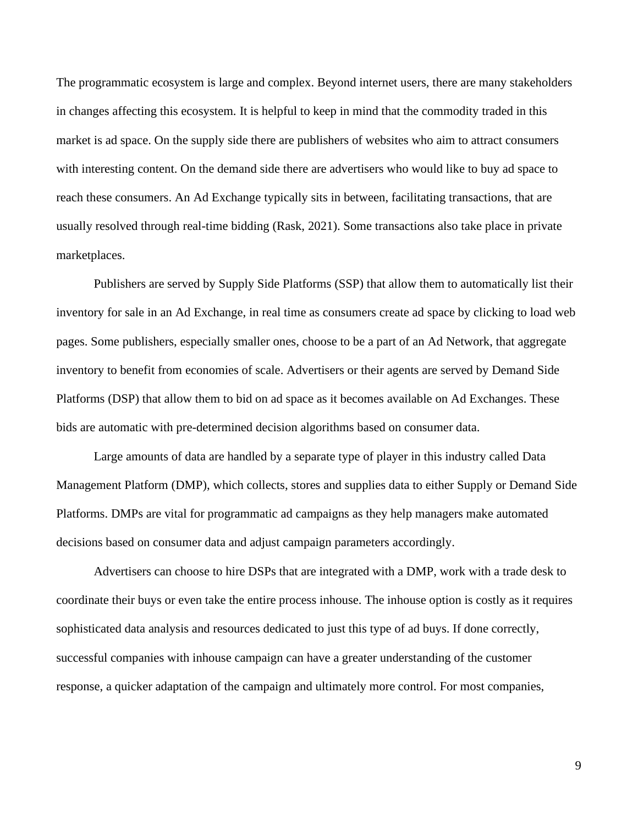The programmatic ecosystem is large and complex. Beyond internet users, there are many stakeholders in changes affecting this ecosystem. It is helpful to keep in mind that the commodity traded in this market is ad space. On the supply side there are publishers of websites who aim to attract consumers with interesting content. On the demand side there are advertisers who would like to buy ad space to reach these consumers. An Ad Exchange typically sits in between, facilitating transactions, that are usually resolved through real-time bidding (Rask, 2021). Some transactions also take place in private marketplaces.

Publishers are served by Supply Side Platforms (SSP) that allow them to automatically list their inventory for sale in an Ad Exchange, in real time as consumers create ad space by clicking to load web pages. Some publishers, especially smaller ones, choose to be a part of an Ad Network, that aggregate inventory to benefit from economies of scale. Advertisers or their agents are served by Demand Side Platforms (DSP) that allow them to bid on ad space as it becomes available on Ad Exchanges. These bids are automatic with pre-determined decision algorithms based on consumer data.

Large amounts of data are handled by a separate type of player in this industry called Data Management Platform (DMP), which collects, stores and supplies data to either Supply or Demand Side Platforms. DMPs are vital for programmatic ad campaigns as they help managers make automated decisions based on consumer data and adjust campaign parameters accordingly.

Advertisers can choose to hire DSPs that are integrated with a DMP, work with a trade desk to coordinate their buys or even take the entire process inhouse. The inhouse option is costly as it requires sophisticated data analysis and resources dedicated to just this type of ad buys. If done correctly, successful companies with inhouse campaign can have a greater understanding of the customer response, a quicker adaptation of the campaign and ultimately more control. For most companies,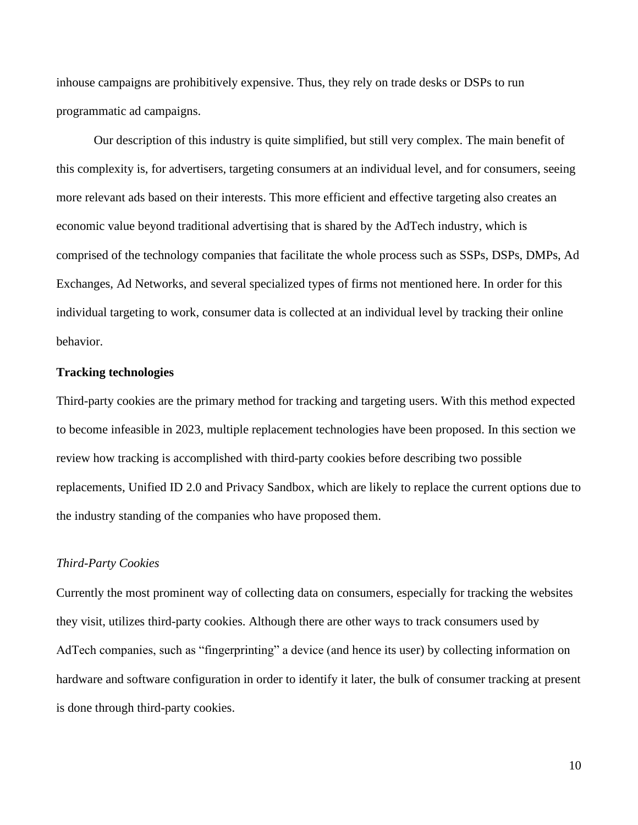inhouse campaigns are prohibitively expensive. Thus, they rely on trade desks or DSPs to run programmatic ad campaigns.

Our description of this industry is quite simplified, but still very complex. The main benefit of this complexity is, for advertisers, targeting consumers at an individual level, and for consumers, seeing more relevant ads based on their interests. This more efficient and effective targeting also creates an economic value beyond traditional advertising that is shared by the AdTech industry, which is comprised of the technology companies that facilitate the whole process such as SSPs, DSPs, DMPs, Ad Exchanges, Ad Networks, and several specialized types of firms not mentioned here. In order for this individual targeting to work, consumer data is collected at an individual level by tracking their online behavior.

#### **Tracking technologies**

Third-party cookies are the primary method for tracking and targeting users. With this method expected to become infeasible in 2023, multiple replacement technologies have been proposed. In this section we review how tracking is accomplished with third-party cookies before describing two possible replacements, Unified ID 2.0 and Privacy Sandbox, which are likely to replace the current options due to the industry standing of the companies who have proposed them.

#### *Third-Party Cookies*

Currently the most prominent way of collecting data on consumers, especially for tracking the websites they visit, utilizes third-party cookies. Although there are other ways to track consumers used by AdTech companies, such as "fingerprinting" a device (and hence its user) by collecting information on hardware and software configuration in order to identify it later, the bulk of consumer tracking at present is done through third-party cookies.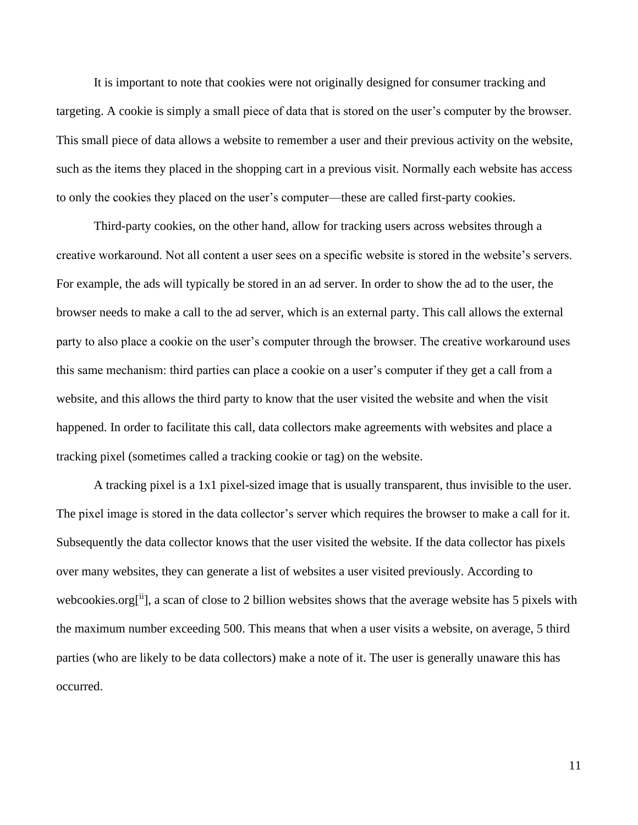It is important to note that cookies were not originally designed for consumer tracking and targeting. A cookie is simply a small piece of data that is stored on the user's computer by the browser. This small piece of data allows a website to remember a user and their previous activity on the website, such as the items they placed in the shopping cart in a previous visit. Normally each website has access to only the cookies they placed on the user's computer—these are called first-party cookies.

Third-party cookies, on the other hand, allow for tracking users across websites through a creative workaround. Not all content a user sees on a specific website is stored in the website's servers. For example, the ads will typically be stored in an ad server. In order to show the ad to the user, the browser needs to make a call to the ad server, which is an external party. This call allows the external party to also place a cookie on the user's computer through the browser. The creative workaround uses this same mechanism: third parties can place a cookie on a user's computer if they get a call from a website, and this allows the third party to know that the user visited the website and when the visit happened. In order to facilitate this call, data collectors make agreements with websites and place a tracking pixel (sometimes called a tracking cookie or tag) on the website.

A tracking pixel is a 1x1 pixel-sized image that is usually transparent, thus invisible to the user. The pixel image is stored in the data collector's server which requires the browser to make a call for it. Subsequently the data collector knows that the user visited the website. If the data collector has pixels over many websites, they can generate a list of websites a user visited previously. According to webcookies.org<sup>[ii</sup>], a scan of close to 2 billion websites shows that the average website has 5 pixels with the maximum number exceeding 500. This means that when a user visits a website, on average, 5 third parties (who are likely to be data collectors) make a note of it. The user is generally unaware this has occurred.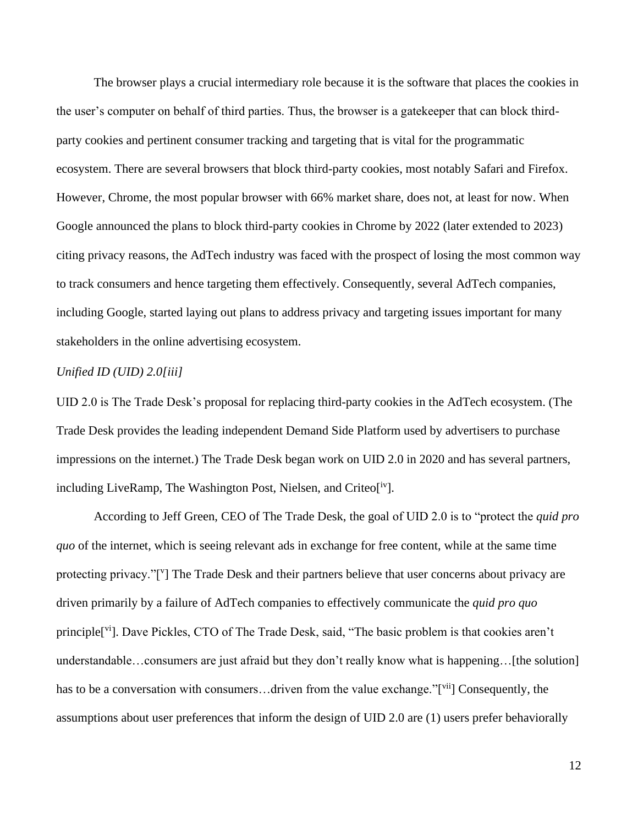The browser plays a crucial intermediary role because it is the software that places the cookies in the user's computer on behalf of third parties. Thus, the browser is a gatekeeper that can block thirdparty cookies and pertinent consumer tracking and targeting that is vital for the programmatic ecosystem. There are several browsers that block third-party cookies, most notably Safari and Firefox. However, Chrome, the most popular browser with 66% market share, does not, at least for now. When Google announced the plans to block third-party cookies in Chrome by 2022 (later extended to 2023) citing privacy reasons, the AdTech industry was faced with the prospect of losing the most common way to track consumers and hence targeting them effectively. Consequently, several AdTech companies, including Google, started laying out plans to address privacy and targeting issues important for many stakeholders in the online advertising ecosystem.

## *Unified ID (UID) 2.0[iii]*

UID 2.0 is The Trade Desk's proposal for replacing third-party cookies in the AdTech ecosystem. (The Trade Desk provides the leading independent Demand Side Platform used by advertisers to purchase impressions on the internet.) The Trade Desk began work on UID 2.0 in 2020 and has several partners, including LiveRamp, The Washington Post, Nielsen, and Criteo<sup>[iv</sup>].

According to Jeff Green, CEO of The Trade Desk, the goal of UID 2.0 is to "protect the *quid pro quo* of the internet, which is seeing relevant ads in exchange for free content, while at the same time protecting privacy."[V] The Trade Desk and their partners believe that user concerns about privacy are driven primarily by a failure of AdTech companies to effectively communicate the *quid pro quo* principle<sup>[vi</sup>]. Dave Pickles, CTO of The Trade Desk, said, "The basic problem is that cookies aren't understandable…consumers are just afraid but they don't really know what is happening…[the solution] has to be a conversation with consumers...driven from the value exchange."[vii] Consequently, the assumptions about user preferences that inform the design of UID 2.0 are (1) users prefer behaviorally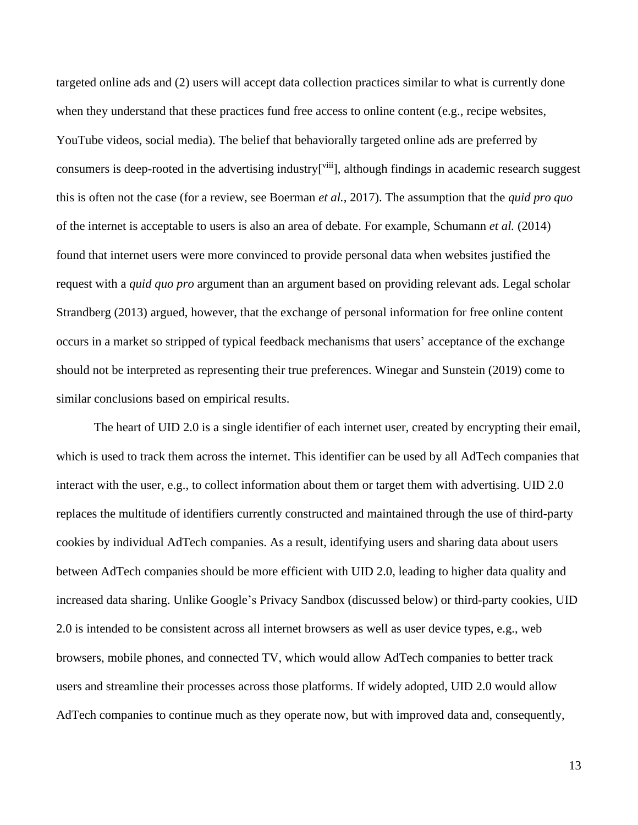targeted online ads and (2) users will accept data collection practices similar to what is currently done when they understand that these practices fund free access to online content (e.g., recipe websites, YouTube videos, social media). The belief that behaviorally targeted online ads are preferred by consumers is deep-rooted in the advertising industry<sup>[viii</sup>], although findings in academic research suggest this is often not the case (for a review, see Boerman *et al.,* 2017). The assumption that the *quid pro quo* of the internet is acceptable to users is also an area of debate. For example, Schumann *et al.* (2014) found that internet users were more convinced to provide personal data when websites justified the request with a *quid quo pro* argument than an argument based on providing relevant ads. Legal scholar Strandberg (2013) argued, however, that the exchange of personal information for free online content occurs in a market so stripped of typical feedback mechanisms that users' acceptance of the exchange should not be interpreted as representing their true preferences. Winegar and Sunstein (2019) come to similar conclusions based on empirical results.

The heart of UID 2.0 is a single identifier of each internet user, created by encrypting their email, which is used to track them across the internet. This identifier can be used by all AdTech companies that interact with the user, e.g., to collect information about them or target them with advertising. UID 2.0 replaces the multitude of identifiers currently constructed and maintained through the use of third-party cookies by individual AdTech companies. As a result, identifying users and sharing data about users between AdTech companies should be more efficient with UID 2.0, leading to higher data quality and increased data sharing. Unlike Google's Privacy Sandbox (discussed below) or third-party cookies, UID 2.0 is intended to be consistent across all internet browsers as well as user device types, e.g., web browsers, mobile phones, and connected TV, which would allow AdTech companies to better track users and streamline their processes across those platforms. If widely adopted, UID 2.0 would allow AdTech companies to continue much as they operate now, but with improved data and, consequently,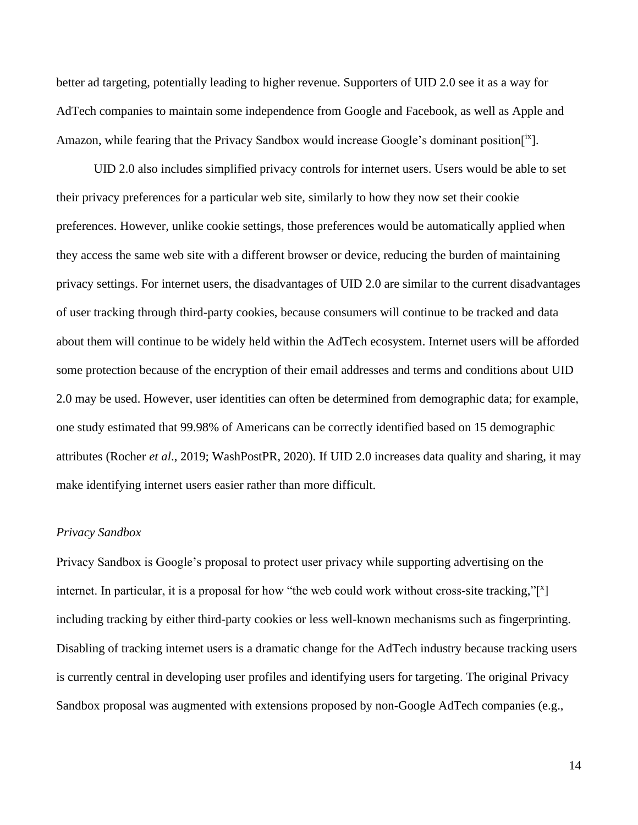better ad targeting, potentially leading to higher revenue. Supporters of UID 2.0 see it as a way for AdTech companies to maintain some independence from Google and Facebook, as well as Apple and Amazon, while fearing that the Privacy Sandbox would increase Google's dominant position $[1^x]$ .

UID 2.0 also includes simplified privacy controls for internet users. Users would be able to set their privacy preferences for a particular web site, similarly to how they now set their cookie preferences. However, unlike cookie settings, those preferences would be automatically applied when they access the same web site with a different browser or device, reducing the burden of maintaining privacy settings. For internet users, the disadvantages of UID 2.0 are similar to the current disadvantages of user tracking through third-party cookies, because consumers will continue to be tracked and data about them will continue to be widely held within the AdTech ecosystem. Internet users will be afforded some protection because of the encryption of their email addresses and terms and conditions about UID 2.0 may be used. However, user identities can often be determined from demographic data; for example, one study estimated that 99.98% of Americans can be correctly identified based on 15 demographic attributes (Rocher *et al*., 2019; WashPostPR, 2020). If UID 2.0 increases data quality and sharing, it may make identifying internet users easier rather than more difficult.

#### *Privacy Sandbox*

Privacy Sandbox is Google's proposal to protect user privacy while supporting advertising on the internet. In particular, it is a proposal for how "the web could work without cross-site tracking," $[$ <sup>x</sup>] including tracking by either third-party cookies or less well-known mechanisms such as fingerprinting. Disabling of tracking internet users is a dramatic change for the AdTech industry because tracking users is currently central in developing user profiles and identifying users for targeting. The original Privacy Sandbox proposal was augmented with extensions proposed by non-Google AdTech companies (e.g.,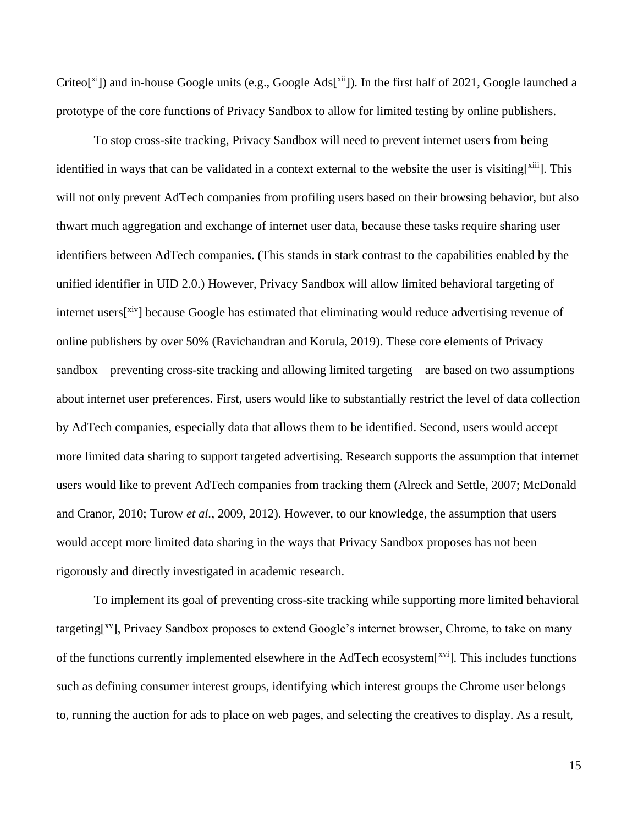Criteo<sup>[xi</sup>]) and in-house Google units (e.g., Google Ads<sup>[xii</sup>]). In the first half of 2021, Google launched a prototype of the core functions of Privacy Sandbox to allow for limited testing by online publishers.

To stop cross-site tracking, Privacy Sandbox will need to prevent internet users from being identified in ways that can be validated in a context external to the website the user is visiting $[x^{iii}]$ . This will not only prevent AdTech companies from profiling users based on their browsing behavior, but also thwart much aggregation and exchange of internet user data, because these tasks require sharing user identifiers between AdTech companies. (This stands in stark contrast to the capabilities enabled by the unified identifier in UID 2.0.) However, Privacy Sandbox will allow limited behavioral targeting of internet users<sup>[xiv</sup>] because Google has estimated that eliminating would reduce advertising revenue of online publishers by over 50% (Ravichandran and Korula, 2019). These core elements of Privacy sandbox—preventing cross-site tracking and allowing limited targeting—are based on two assumptions about internet user preferences. First, users would like to substantially restrict the level of data collection by AdTech companies, especially data that allows them to be identified. Second, users would accept more limited data sharing to support targeted advertising. Research supports the assumption that internet users would like to prevent AdTech companies from tracking them (Alreck and Settle, 2007; McDonald and Cranor, 2010; Turow *et al.*, 2009, 2012). However, to our knowledge, the assumption that users would accept more limited data sharing in the ways that Privacy Sandbox proposes has not been rigorously and directly investigated in academic research.

To implement its goal of preventing cross-site tracking while supporting more limited behavioral targeting<sup>[xv</sup>], Privacy Sandbox proposes to extend Google's internet browser, Chrome, to take on many of the functions currently implemented elsewhere in the AdTech ecosystem[xvi]. This includes functions such as defining consumer interest groups, identifying which interest groups the Chrome user belongs to, running the auction for ads to place on web pages, and selecting the creatives to display. As a result,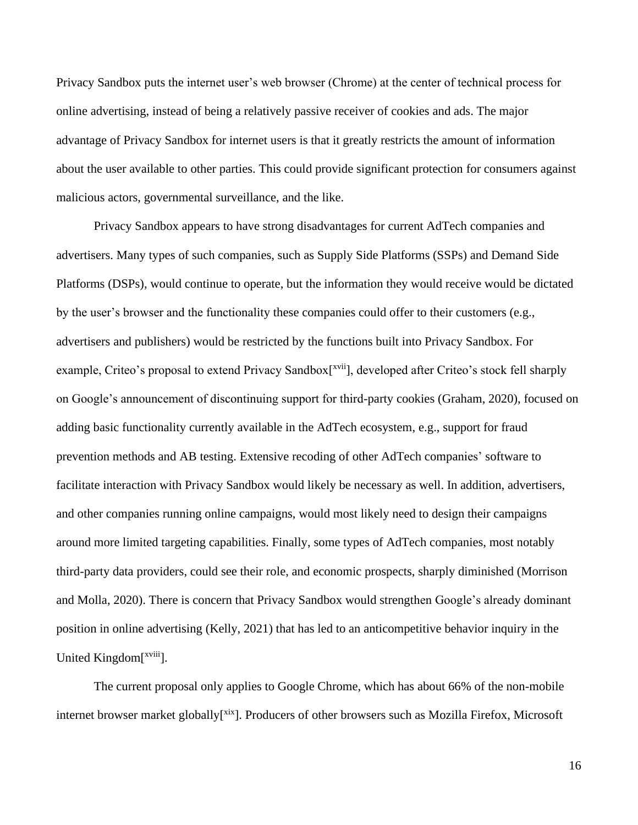Privacy Sandbox puts the internet user's web browser (Chrome) at the center of technical process for online advertising, instead of being a relatively passive receiver of cookies and ads. The major advantage of Privacy Sandbox for internet users is that it greatly restricts the amount of information about the user available to other parties. This could provide significant protection for consumers against malicious actors, governmental surveillance, and the like.

Privacy Sandbox appears to have strong disadvantages for current AdTech companies and advertisers. Many types of such companies, such as Supply Side Platforms (SSPs) and Demand Side Platforms (DSPs), would continue to operate, but the information they would receive would be dictated by the user's browser and the functionality these companies could offer to their customers (e.g., advertisers and publishers) would be restricted by the functions built into Privacy Sandbox. For example, Criteo's proposal to extend Privacy Sandbox<sup>[xvii</sup>], developed after Criteo's stock fell sharply on Google's announcement of discontinuing support for third-party cookies (Graham, 2020), focused on adding basic functionality currently available in the AdTech ecosystem, e.g., support for fraud prevention methods and AB testing. Extensive recoding of other AdTech companies' software to facilitate interaction with Privacy Sandbox would likely be necessary as well. In addition, advertisers, and other companies running online campaigns, would most likely need to design their campaigns around more limited targeting capabilities. Finally, some types of AdTech companies, most notably third-party data providers, could see their role, and economic prospects, sharply diminished (Morrison and Molla, 2020). There is concern that Privacy Sandbox would strengthen Google's already dominant position in online advertising (Kelly, 2021) that has led to an anticompetitive behavior inquiry in the United Kingdom<sup>[xviii</sup>].

The current proposal only applies to Google Chrome, which has about 66% of the non-mobile internet browser market globally<sup>[xix</sup>]. Producers of other browsers such as Mozilla Firefox, Microsoft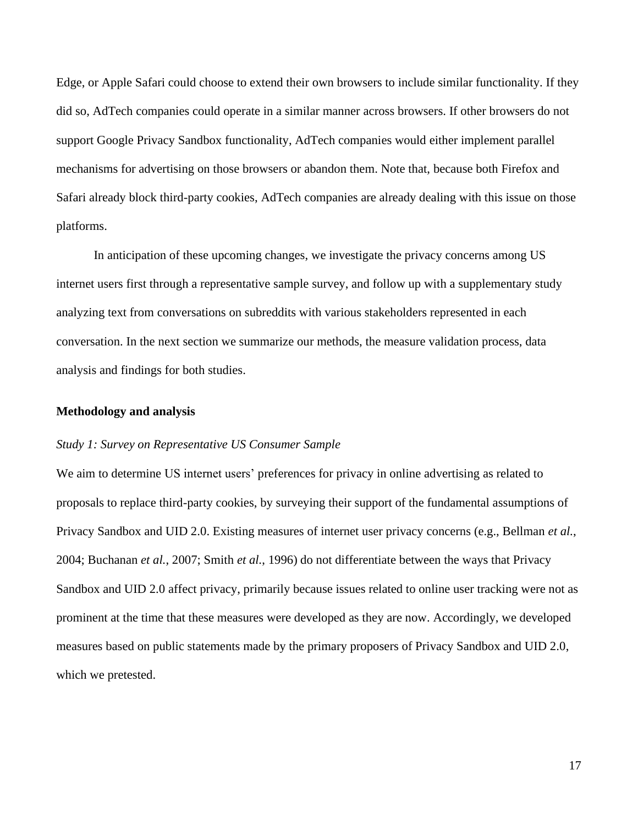Edge, or Apple Safari could choose to extend their own browsers to include similar functionality. If they did so, AdTech companies could operate in a similar manner across browsers. If other browsers do not support Google Privacy Sandbox functionality, AdTech companies would either implement parallel mechanisms for advertising on those browsers or abandon them. Note that, because both Firefox and Safari already block third-party cookies, AdTech companies are already dealing with this issue on those platforms.

In anticipation of these upcoming changes, we investigate the privacy concerns among US internet users first through a representative sample survey, and follow up with a supplementary study analyzing text from conversations on subreddits with various stakeholders represented in each conversation. In the next section we summarize our methods, the measure validation process, data analysis and findings for both studies.

#### **Methodology and analysis**

#### *Study 1: Survey on Representative US Consumer Sample*

We aim to determine US internet users' preferences for privacy in online advertising as related to proposals to replace third-party cookies, by surveying their support of the fundamental assumptions of Privacy Sandbox and UID 2.0. Existing measures of internet user privacy concerns (e.g., Bellman *et al.*, 2004; Buchanan *et al.*, 2007; Smith *et al.*, 1996) do not differentiate between the ways that Privacy Sandbox and UID 2.0 affect privacy, primarily because issues related to online user tracking were not as prominent at the time that these measures were developed as they are now. Accordingly, we developed measures based on public statements made by the primary proposers of Privacy Sandbox and UID 2.0, which we pretested.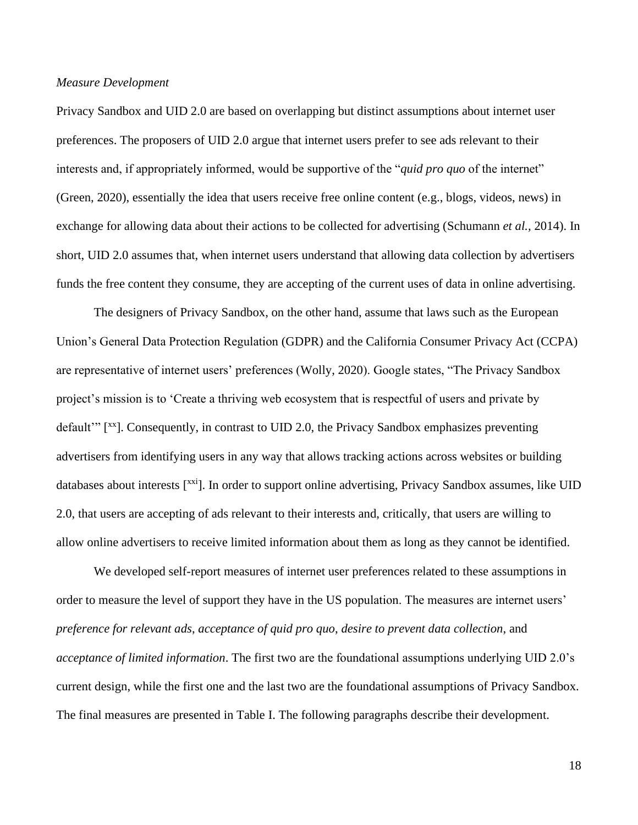#### *Measure Development*

Privacy Sandbox and UID 2.0 are based on overlapping but distinct assumptions about internet user preferences. The proposers of UID 2.0 argue that internet users prefer to see ads relevant to their interests and, if appropriately informed, would be supportive of the "*quid pro quo* of the internet" (Green, 2020), essentially the idea that users receive free online content (e.g., blogs, videos, news) in exchange for allowing data about their actions to be collected for advertising (Schumann *et al.,* 2014). In short, UID 2.0 assumes that, when internet users understand that allowing data collection by advertisers funds the free content they consume, they are accepting of the current uses of data in online advertising.

The designers of Privacy Sandbox, on the other hand, assume that laws such as the European Union's General Data Protection Regulation (GDPR) and the California Consumer Privacy Act (CCPA) are representative of internet users' preferences (Wolly, 2020). Google states, "The Privacy Sandbox project's mission is to 'Create a thriving web ecosystem that is respectful of users and private by default" [xx]. Consequently, in contrast to UID 2.0, the Privacy Sandbox emphasizes preventing advertisers from identifying users in any way that allows tracking actions across websites or building databases about interests [xxi]. In order to support online advertising, Privacy Sandbox assumes, like UID 2.0, that users are accepting of ads relevant to their interests and, critically, that users are willing to allow online advertisers to receive limited information about them as long as they cannot be identified.

We developed self-report measures of internet user preferences related to these assumptions in order to measure the level of support they have in the US population. The measures are internet users' *preference for relevant ads*, *acceptance of quid pro quo*, *desire to prevent data collection*, and *acceptance of limited information*. The first two are the foundational assumptions underlying UID 2.0's current design, while the first one and the last two are the foundational assumptions of Privacy Sandbox. The final measures are presented in Table I. The following paragraphs describe their development.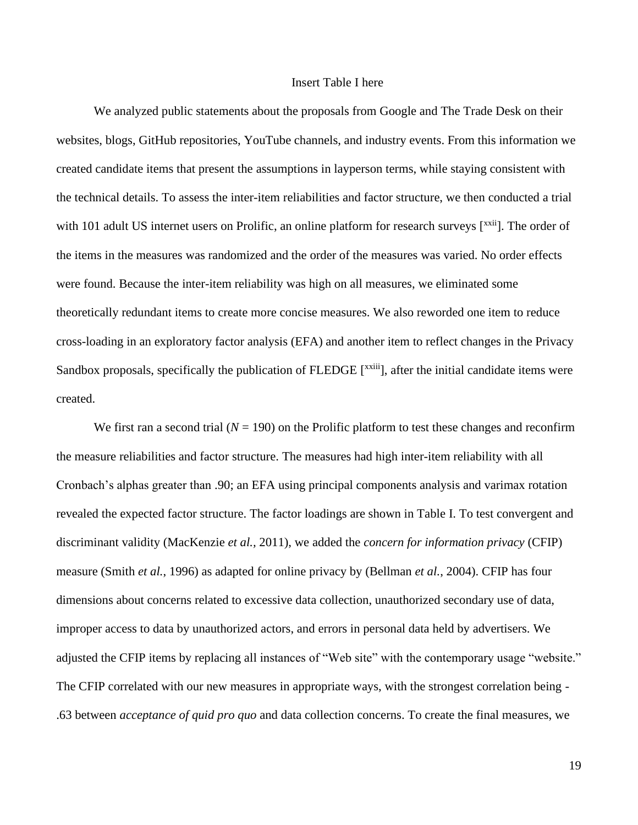#### Insert Table I here

We analyzed public statements about the proposals from Google and The Trade Desk on their websites, blogs, GitHub repositories, YouTube channels, and industry events. From this information we created candidate items that present the assumptions in layperson terms, while staying consistent with the technical details. To assess the inter-item reliabilities and factor structure, we then conducted a trial with 101 adult US internet users on Prolific, an online platform for research surveys [xxii]. The order of the items in the measures was randomized and the order of the measures was varied. No order effects were found. Because the inter-item reliability was high on all measures, we eliminated some theoretically redundant items to create more concise measures. We also reworded one item to reduce cross-loading in an exploratory factor analysis (EFA) and another item to reflect changes in the Privacy Sandbox proposals, specifically the publication of FLEDGE [<sup>xxiii</sup>], after the initial candidate items were created.

We first ran a second trial  $(N = 190)$  on the Prolific platform to test these changes and reconfirm the measure reliabilities and factor structure. The measures had high inter-item reliability with all Cronbach's alphas greater than .90; an EFA using principal components analysis and varimax rotation revealed the expected factor structure. The factor loadings are shown in Table I. To test convergent and discriminant validity (MacKenzie *et al.,* 2011), we added the *concern for information privacy* (CFIP) measure (Smith *et al.*, 1996) as adapted for online privacy by (Bellman *et al.*, 2004). CFIP has four dimensions about concerns related to excessive data collection, unauthorized secondary use of data, improper access to data by unauthorized actors, and errors in personal data held by advertisers. We adjusted the CFIP items by replacing all instances of "Web site" with the contemporary usage "website." The CFIP correlated with our new measures in appropriate ways, with the strongest correlation being - .63 between *acceptance of quid pro quo* and data collection concerns. To create the final measures, we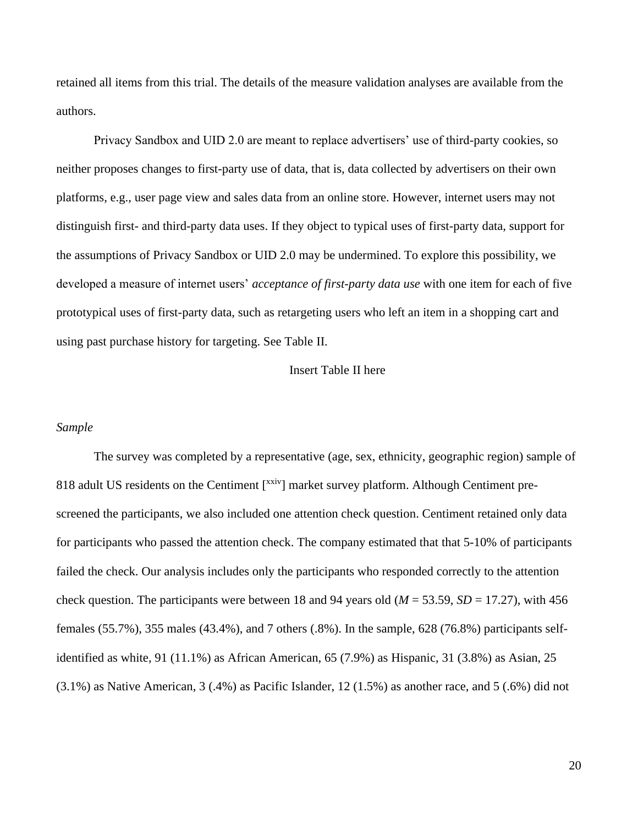retained all items from this trial. The details of the measure validation analyses are available from the authors.

Privacy Sandbox and UID 2.0 are meant to replace advertisers' use of third-party cookies, so neither proposes changes to first-party use of data, that is, data collected by advertisers on their own platforms, e.g., user page view and sales data from an online store. However, internet users may not distinguish first- and third-party data uses. If they object to typical uses of first-party data, support for the assumptions of Privacy Sandbox or UID 2.0 may be undermined. To explore this possibility, we developed a measure of internet users' *acceptance of first-party data use* with one item for each of five prototypical uses of first-party data, such as retargeting users who left an item in a shopping cart and using past purchase history for targeting. See Table II.

#### Insert Table II here

#### *Sample*

The survey was completed by a representative (age, sex, ethnicity, geographic region) sample of 818 adult US residents on the Centiment [xxiv] market survey platform. Although Centiment prescreened the participants, we also included one attention check question. Centiment retained only data for participants who passed the attention check. The company estimated that that 5-10% of participants failed the check. Our analysis includes only the participants who responded correctly to the attention check question. The participants were between 18 and 94 years old  $(M = 53.59, SD = 17.27)$ , with 456 females (55.7%), 355 males (43.4%), and 7 others (.8%). In the sample, 628 (76.8%) participants selfidentified as white, 91 (11.1%) as African American, 65 (7.9%) as Hispanic, 31 (3.8%) as Asian, 25 (3.1%) as Native American, 3 (.4%) as Pacific Islander, 12 (1.5%) as another race, and 5 (.6%) did not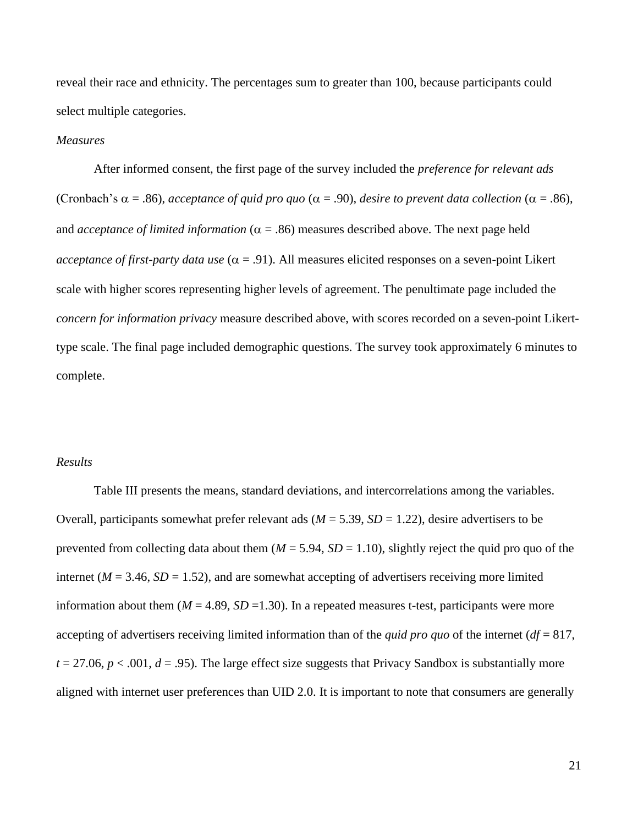reveal their race and ethnicity. The percentages sum to greater than 100, because participants could select multiple categories.

#### *Measures*

After informed consent, the first page of the survey included the *preference for relevant ads*  (Cronbach's  $\alpha$  = .86), *acceptance of quid pro quo* ( $\alpha$  = .90), *desire to prevent data collection* ( $\alpha$  = .86), and *acceptance of limited information*  $(\alpha = .86)$  measures described above. The next page held *acceptance of first-party data use*  $(\alpha = .91)$ . All measures elicited responses on a seven-point Likert scale with higher scores representing higher levels of agreement. The penultimate page included the *concern for information privacy* measure described above, with scores recorded on a seven-point Likerttype scale. The final page included demographic questions. The survey took approximately 6 minutes to complete.

#### *Results*

Table III presents the means, standard deviations, and intercorrelations among the variables. Overall, participants somewhat prefer relevant ads  $(M = 5.39, SD = 1.22)$ , desire advertisers to be prevented from collecting data about them  $(M = 5.94, SD = 1.10)$ , slightly reject the quid pro quo of the internet ( $M = 3.46$ ,  $SD = 1.52$ ), and are somewhat accepting of advertisers receiving more limited information about them  $(M = 4.89, SD = 1.30)$ . In a repeated measures t-test, participants were more accepting of advertisers receiving limited information than of the *quid pro quo* of the internet (*df* = 817,  $t = 27.06$ ,  $p < .001$ ,  $d = .95$ ). The large effect size suggests that Privacy Sandbox is substantially more aligned with internet user preferences than UID 2.0. It is important to note that consumers are generally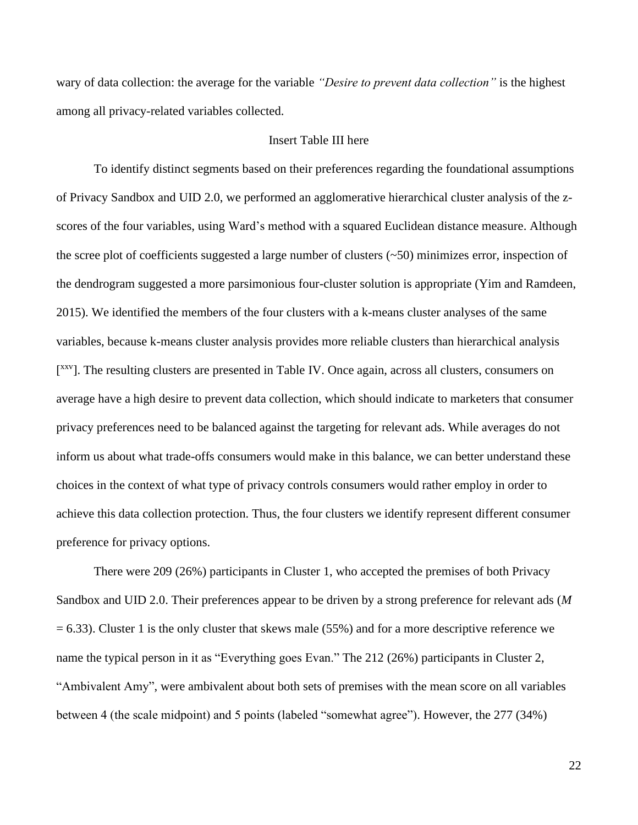wary of data collection: the average for the variable *"Desire to prevent data collection"* is the highest among all privacy-related variables collected.

#### Insert Table III here

To identify distinct segments based on their preferences regarding the foundational assumptions of Privacy Sandbox and UID 2.0, we performed an agglomerative hierarchical cluster analysis of the zscores of the four variables, using Ward's method with a squared Euclidean distance measure. Although the scree plot of coefficients suggested a large number of clusters  $(-50)$  minimizes error, inspection of the dendrogram suggested a more parsimonious four-cluster solution is appropriate (Yim and Ramdeen, 2015). We identified the members of the four clusters with a k-means cluster analyses of the same variables, because k-means cluster analysis provides more reliable clusters than hierarchical analysis [<sup>XXV</sup>]. The resulting clusters are presented in Table IV. Once again, across all clusters, consumers on average have a high desire to prevent data collection, which should indicate to marketers that consumer privacy preferences need to be balanced against the targeting for relevant ads. While averages do not inform us about what trade-offs consumers would make in this balance, we can better understand these choices in the context of what type of privacy controls consumers would rather employ in order to achieve this data collection protection. Thus, the four clusters we identify represent different consumer preference for privacy options.

There were 209 (26%) participants in Cluster 1, who accepted the premises of both Privacy Sandbox and UID 2.0. Their preferences appear to be driven by a strong preference for relevant ads (*M*  $= 6.33$ ). Cluster 1 is the only cluster that skews male (55%) and for a more descriptive reference we name the typical person in it as "Everything goes Evan." The 212 (26%) participants in Cluster 2, "Ambivalent Amy", were ambivalent about both sets of premises with the mean score on all variables between 4 (the scale midpoint) and 5 points (labeled "somewhat agree"). However, the 277 (34%)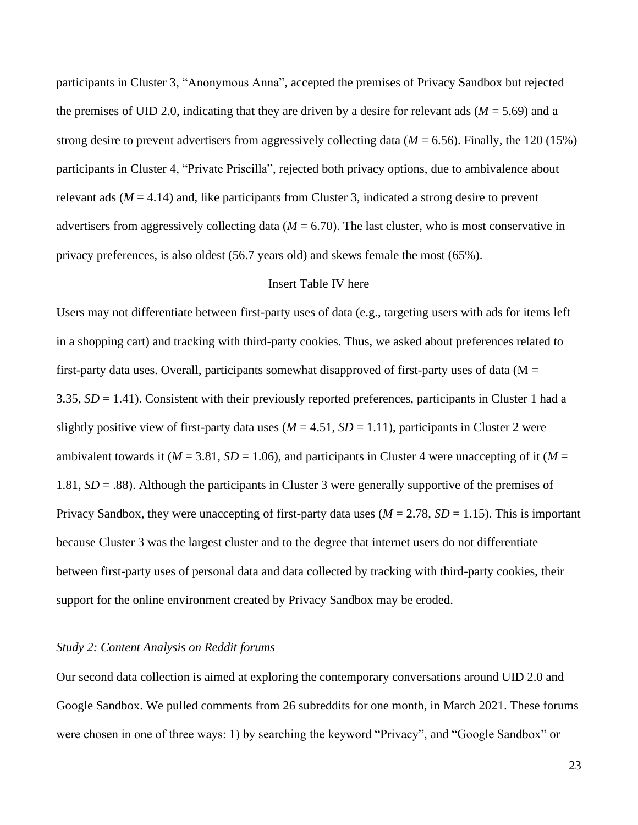participants in Cluster 3, "Anonymous Anna", accepted the premises of Privacy Sandbox but rejected the premises of UID 2.0, indicating that they are driven by a desire for relevant ads (*M* = 5.69) and a strong desire to prevent advertisers from aggressively collecting data ( $M = 6.56$ ). Finally, the 120 (15%) participants in Cluster 4, "Private Priscilla", rejected both privacy options, due to ambivalence about relevant ads  $(M = 4.14)$  and, like participants from Cluster 3, indicated a strong desire to prevent advertisers from aggressively collecting data  $(M = 6.70)$ . The last cluster, who is most conservative in privacy preferences, is also oldest (56.7 years old) and skews female the most (65%).

#### Insert Table IV here

Users may not differentiate between first-party uses of data (e.g., targeting users with ads for items left in a shopping cart) and tracking with third-party cookies. Thus, we asked about preferences related to first-party data uses. Overall, participants somewhat disapproved of first-party uses of data ( $M =$ 3.35, *SD* = 1.41). Consistent with their previously reported preferences, participants in Cluster 1 had a slightly positive view of first-party data uses  $(M = 4.51, SD = 1.11)$ , participants in Cluster 2 were ambivalent towards it ( $M = 3.81$ ,  $SD = 1.06$ ), and participants in Cluster 4 were unaccepting of it ( $M =$ 1.81, *SD* = .88). Although the participants in Cluster 3 were generally supportive of the premises of Privacy Sandbox, they were unaccepting of first-party data uses  $(M = 2.78, SD = 1.15)$ . This is important because Cluster 3 was the largest cluster and to the degree that internet users do not differentiate between first-party uses of personal data and data collected by tracking with third-party cookies, their support for the online environment created by Privacy Sandbox may be eroded.

#### *Study 2: Content Analysis on Reddit forums*

Our second data collection is aimed at exploring the contemporary conversations around UID 2.0 and Google Sandbox. We pulled comments from 26 subreddits for one month, in March 2021. These forums were chosen in one of three ways: 1) by searching the keyword "Privacy", and "Google Sandbox" or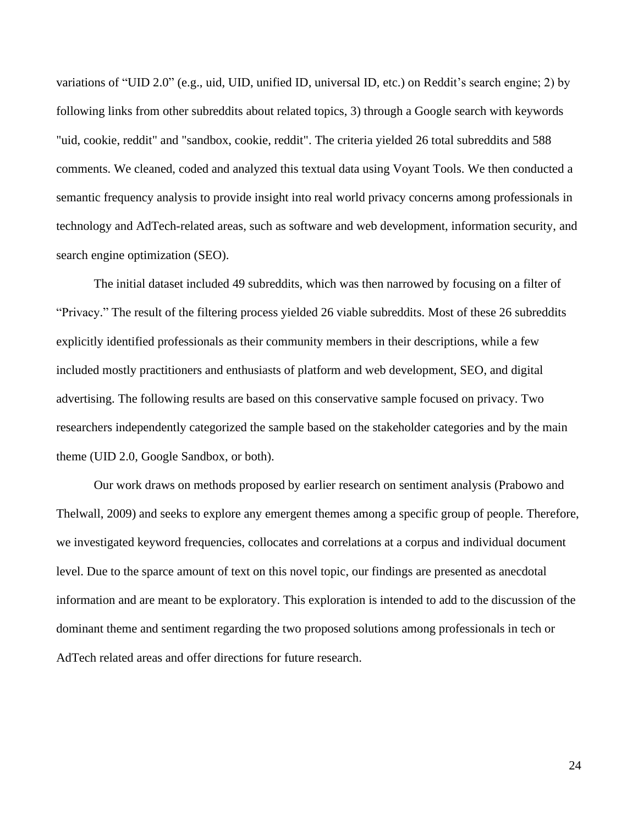variations of "UID 2.0" (e.g., uid, UID, unified ID, universal ID, etc.) on Reddit's search engine; 2) by following links from other subreddits about related topics, 3) through a Google search with keywords "uid, cookie, reddit" and "sandbox, cookie, reddit". The criteria yielded 26 total subreddits and 588 comments. We cleaned, coded and analyzed this textual data using Voyant Tools. We then conducted a semantic frequency analysis to provide insight into real world privacy concerns among professionals in technology and AdTech-related areas, such as software and web development, information security, and search engine optimization (SEO).

The initial dataset included 49 subreddits, which was then narrowed by focusing on a filter of "Privacy." The result of the filtering process yielded 26 viable subreddits. Most of these 26 subreddits explicitly identified professionals as their community members in their descriptions, while a few included mostly practitioners and enthusiasts of platform and web development, SEO, and digital advertising. The following results are based on this conservative sample focused on privacy. Two researchers independently categorized the sample based on the stakeholder categories and by the main theme (UID 2.0, Google Sandbox, or both).

Our work draws on methods proposed by earlier research on sentiment analysis (Prabowo and Thelwall, 2009) and seeks to explore any emergent themes among a specific group of people. Therefore, we investigated keyword frequencies, collocates and correlations at a corpus and individual document level. Due to the sparce amount of text on this novel topic, our findings are presented as anecdotal information and are meant to be exploratory. This exploration is intended to add to the discussion of the dominant theme and sentiment regarding the two proposed solutions among professionals in tech or AdTech related areas and offer directions for future research.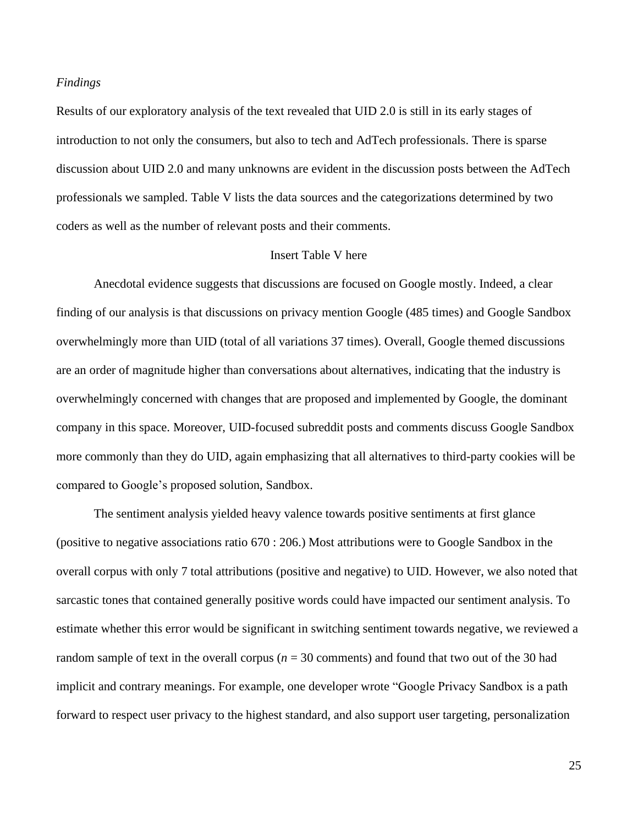#### *Findings*

Results of our exploratory analysis of the text revealed that UID 2.0 is still in its early stages of introduction to not only the consumers, but also to tech and AdTech professionals. There is sparse discussion about UID 2.0 and many unknowns are evident in the discussion posts between the AdTech professionals we sampled. Table V lists the data sources and the categorizations determined by two coders as well as the number of relevant posts and their comments.

#### Insert Table V here

Anecdotal evidence suggests that discussions are focused on Google mostly. Indeed, a clear finding of our analysis is that discussions on privacy mention Google (485 times) and Google Sandbox overwhelmingly more than UID (total of all variations 37 times). Overall, Google themed discussions are an order of magnitude higher than conversations about alternatives, indicating that the industry is overwhelmingly concerned with changes that are proposed and implemented by Google, the dominant company in this space. Moreover, UID-focused subreddit posts and comments discuss Google Sandbox more commonly than they do UID, again emphasizing that all alternatives to third-party cookies will be compared to Google's proposed solution, Sandbox.

The sentiment analysis yielded heavy valence towards positive sentiments at first glance (positive to negative associations ratio 670 : 206.) Most attributions were to Google Sandbox in the overall corpus with only 7 total attributions (positive and negative) to UID. However, we also noted that sarcastic tones that contained generally positive words could have impacted our sentiment analysis. To estimate whether this error would be significant in switching sentiment towards negative, we reviewed a random sample of text in the overall corpus ( $n = 30$  comments) and found that two out of the 30 had implicit and contrary meanings. For example, one developer wrote "Google Privacy Sandbox is a path forward to respect user privacy to the highest standard, and also support user targeting, personalization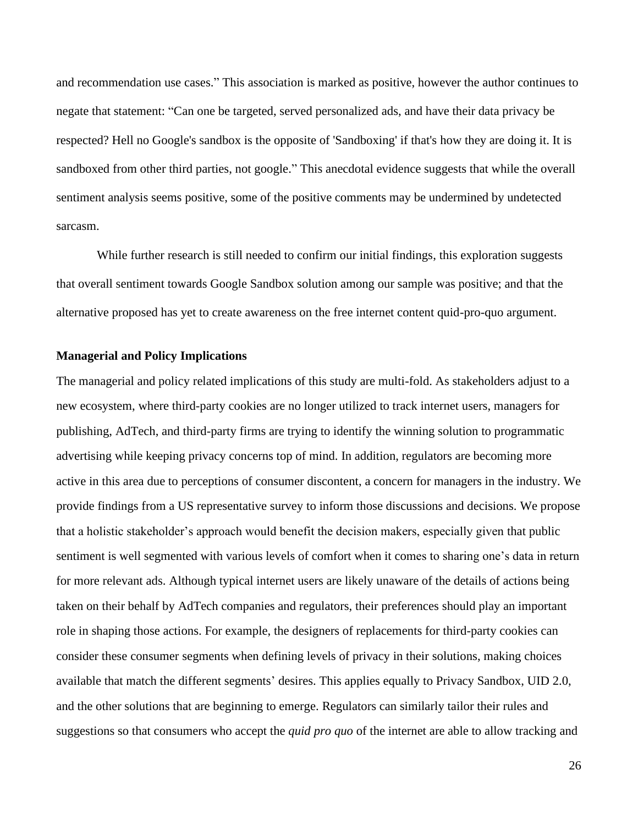and recommendation use cases." This association is marked as positive, however the author continues to negate that statement: "Can one be targeted, served personalized ads, and have their data privacy be respected? Hell no Google's sandbox is the opposite of 'Sandboxing' if that's how they are doing it. It is sandboxed from other third parties, not google." This anecdotal evidence suggests that while the overall sentiment analysis seems positive, some of the positive comments may be undermined by undetected sarcasm.

While further research is still needed to confirm our initial findings, this exploration suggests that overall sentiment towards Google Sandbox solution among our sample was positive; and that the alternative proposed has yet to create awareness on the free internet content quid-pro-quo argument.

#### **Managerial and Policy Implications**

The managerial and policy related implications of this study are multi-fold. As stakeholders adjust to a new ecosystem, where third-party cookies are no longer utilized to track internet users, managers for publishing, AdTech, and third-party firms are trying to identify the winning solution to programmatic advertising while keeping privacy concerns top of mind. In addition, regulators are becoming more active in this area due to perceptions of consumer discontent, a concern for managers in the industry. We provide findings from a US representative survey to inform those discussions and decisions. We propose that a holistic stakeholder's approach would benefit the decision makers, especially given that public sentiment is well segmented with various levels of comfort when it comes to sharing one's data in return for more relevant ads. Although typical internet users are likely unaware of the details of actions being taken on their behalf by AdTech companies and regulators, their preferences should play an important role in shaping those actions. For example, the designers of replacements for third-party cookies can consider these consumer segments when defining levels of privacy in their solutions, making choices available that match the different segments' desires. This applies equally to Privacy Sandbox, UID 2.0, and the other solutions that are beginning to emerge. Regulators can similarly tailor their rules and suggestions so that consumers who accept the *quid pro quo* of the internet are able to allow tracking and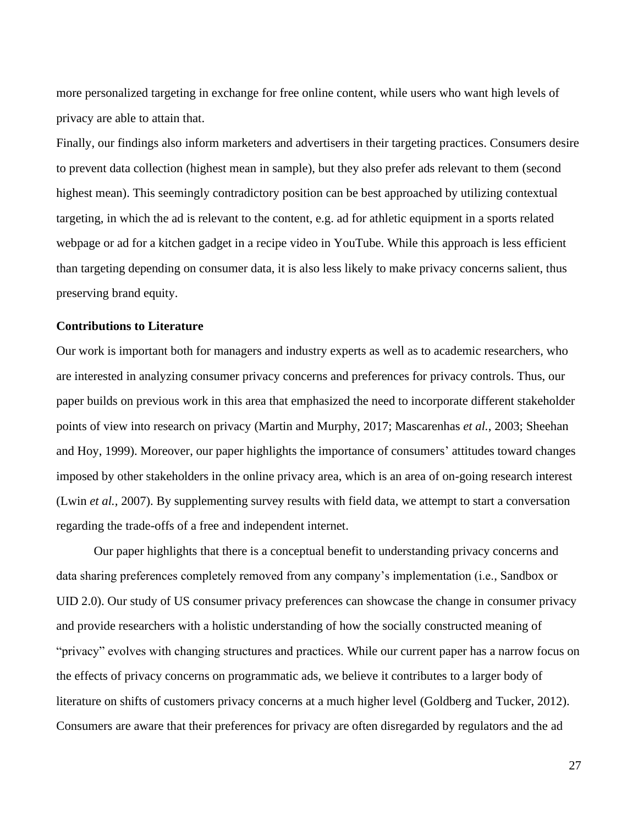more personalized targeting in exchange for free online content, while users who want high levels of privacy are able to attain that.

Finally, our findings also inform marketers and advertisers in their targeting practices. Consumers desire to prevent data collection (highest mean in sample), but they also prefer ads relevant to them (second highest mean). This seemingly contradictory position can be best approached by utilizing contextual targeting, in which the ad is relevant to the content, e.g. ad for athletic equipment in a sports related webpage or ad for a kitchen gadget in a recipe video in YouTube. While this approach is less efficient than targeting depending on consumer data, it is also less likely to make privacy concerns salient, thus preserving brand equity.

#### **Contributions to Literature**

Our work is important both for managers and industry experts as well as to academic researchers, who are interested in analyzing consumer privacy concerns and preferences for privacy controls. Thus, our paper builds on previous work in this area that emphasized the need to incorporate different stakeholder points of view into research on privacy (Martin and Murphy, 2017; Mascarenhas *et al.*, 2003; Sheehan and Hoy, 1999). Moreover, our paper highlights the importance of consumers' attitudes toward changes imposed by other stakeholders in the online privacy area, which is an area of on-going research interest (Lwin *et al.,* 2007). By supplementing survey results with field data, we attempt to start a conversation regarding the trade-offs of a free and independent internet.

Our paper highlights that there is a conceptual benefit to understanding privacy concerns and data sharing preferences completely removed from any company's implementation (i.e., Sandbox or UID 2.0). Our study of US consumer privacy preferences can showcase the change in consumer privacy and provide researchers with a holistic understanding of how the socially constructed meaning of "privacy" evolves with changing structures and practices. While our current paper has a narrow focus on the effects of privacy concerns on programmatic ads, we believe it contributes to a larger body of literature on shifts of customers privacy concerns at a much higher level (Goldberg and Tucker, 2012). Consumers are aware that their preferences for privacy are often disregarded by regulators and the ad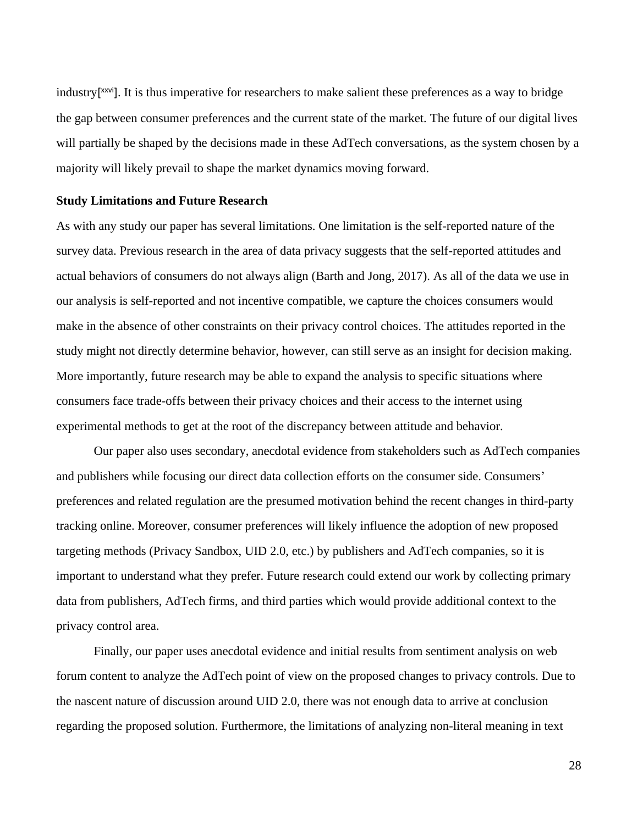industry[ xxvi]. It is thus imperative for researchers to make salient these preferences as a way to bridge the gap between consumer preferences and the current state of the market. The future of our digital lives will partially be shaped by the decisions made in these AdTech conversations, as the system chosen by a majority will likely prevail to shape the market dynamics moving forward.

#### **Study Limitations and Future Research**

As with any study our paper has several limitations. One limitation is the self-reported nature of the survey data. Previous research in the area of data privacy suggests that the self-reported attitudes and actual behaviors of consumers do not always align (Barth and Jong, 2017). As all of the data we use in our analysis is self-reported and not incentive compatible, we capture the choices consumers would make in the absence of other constraints on their privacy control choices. The attitudes reported in the study might not directly determine behavior, however, can still serve as an insight for decision making. More importantly, future research may be able to expand the analysis to specific situations where consumers face trade-offs between their privacy choices and their access to the internet using experimental methods to get at the root of the discrepancy between attitude and behavior.

 Our paper also uses secondary, anecdotal evidence from stakeholders such as AdTech companies and publishers while focusing our direct data collection efforts on the consumer side. Consumers' preferences and related regulation are the presumed motivation behind the recent changes in third-party tracking online. Moreover, consumer preferences will likely influence the adoption of new proposed targeting methods (Privacy Sandbox, UID 2.0, etc.) by publishers and AdTech companies, so it is important to understand what they prefer. Future research could extend our work by collecting primary data from publishers, AdTech firms, and third parties which would provide additional context to the privacy control area.

Finally, our paper uses anecdotal evidence and initial results from sentiment analysis on web forum content to analyze the AdTech point of view on the proposed changes to privacy controls. Due to the nascent nature of discussion around UID 2.0, there was not enough data to arrive at conclusion regarding the proposed solution. Furthermore, the limitations of analyzing non-literal meaning in text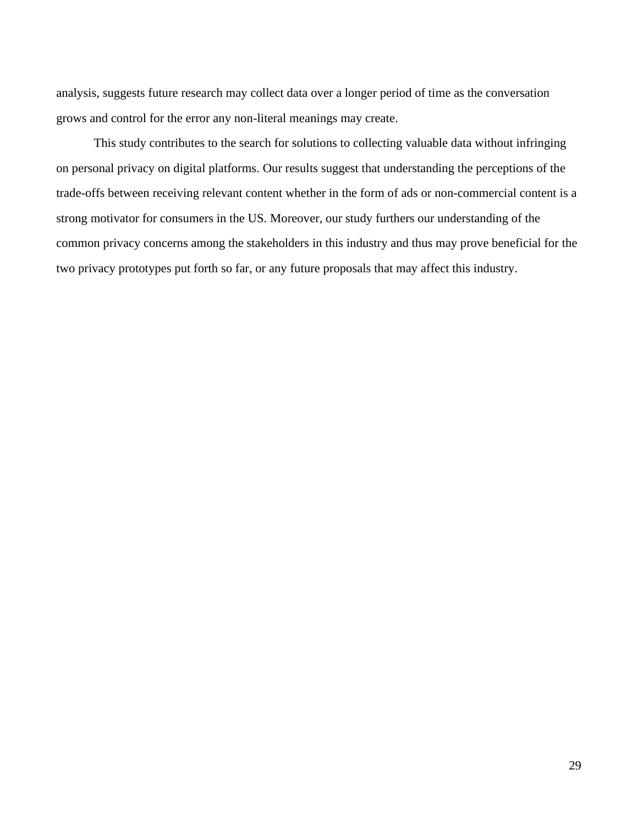analysis, suggests future research may collect data over a longer period of time as the conversation grows and control for the error any non-literal meanings may create.

This study contributes to the search for solutions to collecting valuable data without infringing on personal privacy on digital platforms. Our results suggest that understanding the perceptions of the trade-offs between receiving relevant content whether in the form of ads or non-commercial content is a strong motivator for consumers in the US. Moreover, our study furthers our understanding of the common privacy concerns among the stakeholders in this industry and thus may prove beneficial for the two privacy prototypes put forth so far, or any future proposals that may affect this industry.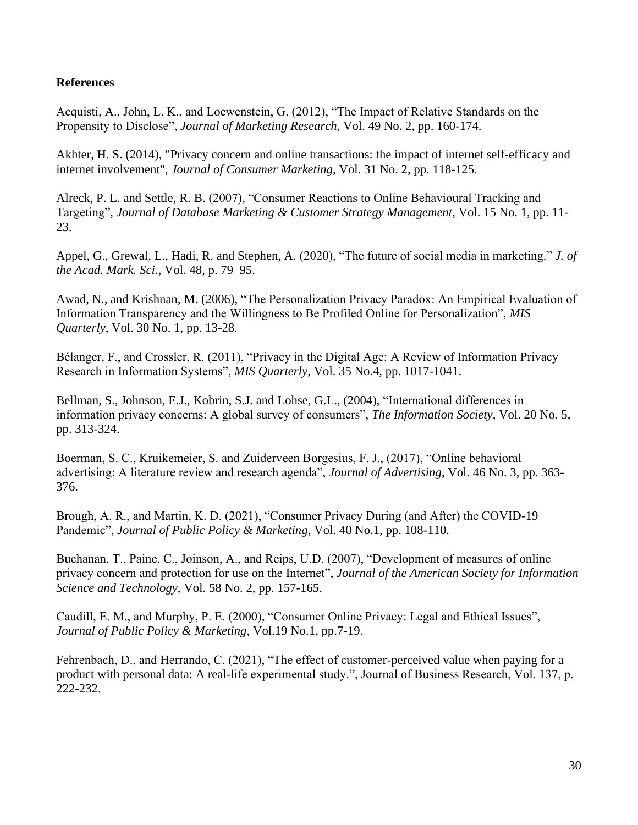## **References**

Acquisti, A., John, L. K., and Loewenstein, G. (2012), "The Impact of Relative Standards on the Propensity to Disclose", *Journal of Marketing Research*, Vol. 49 No. 2, pp. 160-174.

Akhter, H. S. (2014), "Privacy concern and online transactions: the impact of internet self-efficacy and internet involvement", *Journal of Consumer Marketing*, Vol. 31 No. 2, pp. 118-125.

Alreck, P. L. and Settle, R. B. (2007), "Consumer Reactions to Online Behavioural Tracking and Targeting", *Journal of Database Marketing & Customer Strategy Management*, Vol. 15 No. 1, pp. 11- 23.

Appel, G., Grewal, L., Hadi, R. and Stephen, A*.* (2020), "The future of social media in marketing." *J. of the Acad. Mark. Sci*., Vol. 48, p. 79–95.

Awad, N., and Krishnan, M. (2006), "The Personalization Privacy Paradox: An Empirical Evaluation of Information Transparency and the Willingness to Be Profiled Online for Personalization", *MIS Quarterly*, Vol. 30 No. 1, pp. 13-28.

Bélanger, F., and Crossler, R. (2011), "Privacy in the Digital Age: A Review of Information Privacy Research in Information Systems", *MIS Quarterly*, Vol. 35 No.4, pp. 1017-1041.

Bellman, S., Johnson, E.J., Kobrin, S.J. and Lohse, G.L., (2004), "International differences in information privacy concerns: A global survey of consumers", *The Information Society*, Vol. 20 No. 5, pp. 313-324.

Boerman, S. C., Kruikemeier, S. and Zuiderveen Borgesius, F. J., (2017), "Online behavioral advertising: A literature review and research agenda", *Journal of Advertising*, Vol. 46 No. 3, pp. 363- 376.

Brough, A. R., and Martin, K. D. (2021), "Consumer Privacy During (and After) the COVID-19 Pandemic", *Journal of Public Policy & Marketing*, Vol. 40 No.1, pp. 108-110.

Buchanan, T., Paine, C., Joinson, A., and Reips, U.D. (2007), "Development of measures of online privacy concern and protection for use on the Internet", *Journal of the American Society for Information Science and Technology*, Vol. 58 No. 2, pp. 157-165.

Caudill, E. M., and Murphy, P. E. (2000), "Consumer Online Privacy: Legal and Ethical Issues", *Journal of Public Policy & Marketing*, Vol.19 No.1, pp.7-19.

Fehrenbach, D., and Herrando, C. (2021), "The effect of customer-perceived value when paying for a product with personal data: A real-life experimental study.", Journal of Business Research, Vol. 137, p. 222-232.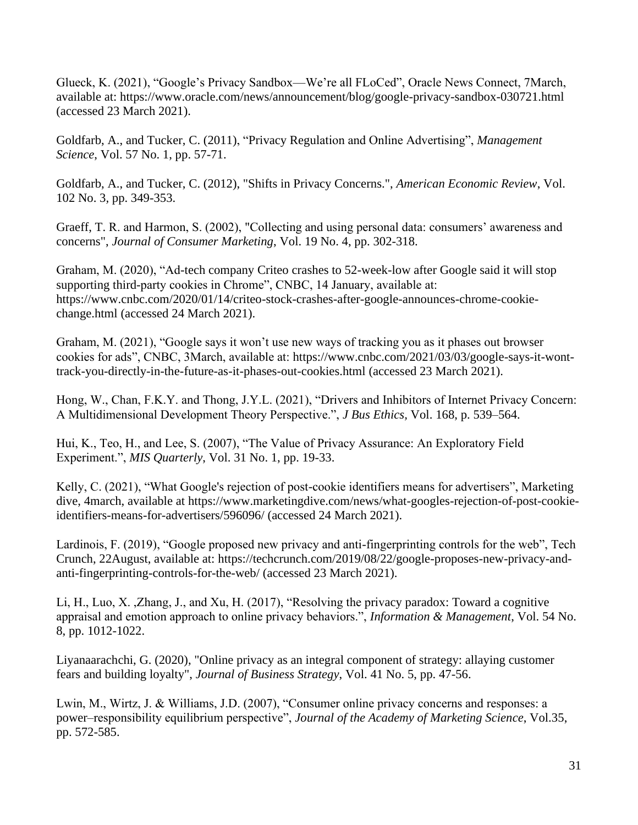Glueck, K. (2021), "Google's Privacy Sandbox—We're all FLoCed", Oracle News Connect, 7March, available at:<https://www.oracle.com/news/announcement/blog/google-privacy-sandbox-030721.html> (accessed 23 March 2021).

Goldfarb, A., and Tucker, C. (2011), "Privacy Regulation and Online Advertising", *Management Science*, Vol. 57 No. 1, pp. 57-71.

Goldfarb, A., and Tucker, C. (2012), "Shifts in Privacy Concerns.", *American Economic Review*, Vol. 102 No. 3*,* pp. 349-353.

Graeff, T. R. and Harmon, S. (2002), "Collecting and using personal data: consumers' awareness and concerns", *Journal of Consumer Marketing*, Vol. 19 No. 4, pp. 302-318.

Graham, M. (2020), "Ad-tech company Criteo crashes to 52-week-low after Google said it will stop supporting third-party cookies in Chrome", CNBC, 14 January, available at: [https://www.cnbc.com/2020/01/14/criteo-stock-crashes-after-google-announces-chrome-cookie](https://www.cnbc.com/2020/01/14/criteo-stock-crashes-after-google-announces-chrome-cookie-change.html)[change.html](https://www.cnbc.com/2020/01/14/criteo-stock-crashes-after-google-announces-chrome-cookie-change.html) (accessed 24 March 2021).

Graham, M. (2021), "Google says it won't use new ways of tracking you as it phases out browser cookies for ads", CNBC, 3March, available at: [https://www.cnbc.com/2021/03/03/google-says-it-wont](https://www.cnbc.com/2021/03/03/google-says-it-wont-track-you-directly-in-the-future-as-it-phases-out-cookies.html)[track-you-directly-in-the-future-as-it-phases-out-cookies.html](https://www.cnbc.com/2021/03/03/google-says-it-wont-track-you-directly-in-the-future-as-it-phases-out-cookies.html) (accessed 23 March 2021).

Hong, W., Chan, F.K.Y. and Thong, J.Y.L. (2021), "Drivers and Inhibitors of Internet Privacy Concern: A Multidimensional Development Theory Perspective.", *J Bus Ethics,* Vol. 168, p. 539–564.

Hui, K., Teo, H., and Lee, S. (2007), "The Value of Privacy Assurance: An Exploratory Field Experiment.", *MIS Quarterly*, Vol. 31 No. 1, pp. 19-33.

Kelly, C. (2021), "What Google's rejection of post-cookie identifiers means for advertisers", Marketing dive, 4march, available at [https://www.marketingdive.com/news/what-googles-rejection-of-post-cookie](https://www.marketingdive.com/news/what-googles-rejection-of-post-cookie-identifiers-means-for-advertisers/596096/)[identifiers-means-for-advertisers/596096/](https://www.marketingdive.com/news/what-googles-rejection-of-post-cookie-identifiers-means-for-advertisers/596096/) (accessed 24 March 2021).

Lardinois, F. (2019), "Google proposed new privacy and anti-fingerprinting controls for the web", Tech Crunch, 22August, available at: [https://techcrunch.com/2019/08/22/google-proposes-new-privacy-and](https://techcrunch.com/2019/08/22/google-proposes-new-privacy-and-anti-fingerprinting-controls-for-the-web/)[anti-fingerprinting-controls-for-the-web/](https://techcrunch.com/2019/08/22/google-proposes-new-privacy-and-anti-fingerprinting-controls-for-the-web/) (accessed 23 March 2021).

Li, H., Luo, X. ,Zhang, J., and Xu, H. (2017), "Resolving the privacy paradox: Toward a cognitive appraisal and emotion approach to online privacy behaviors.", *Information & Management*, Vol. 54 No. 8, pp. 1012-1022.

Liyanaarachchi, G. (2020), "Online privacy as an integral component of strategy: allaying customer fears and building loyalty", *Journal of Business Strategy*, Vol. 41 No. 5, pp. 47-56.

Lwin, M., Wirtz, J. & Williams, J.D. (2007), "Consumer online privacy concerns and responses: a power–responsibility equilibrium perspective", *Journal of the Academy of Marketing Science*, Vol.35, pp. 572-585.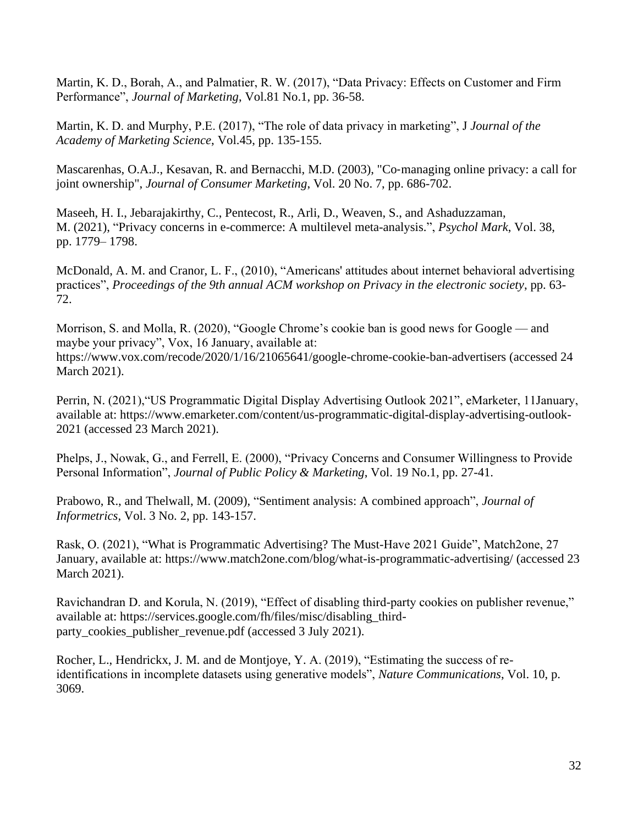Martin, K. D., Borah, A., and Palmatier, R. W. (2017), "Data Privacy: Effects on Customer and Firm Performance", *Journal of Marketing*, Vol.81 No.1, pp. 36-58.

Martin, K. D. and Murphy, P.E. (2017), "The role of data privacy in marketing", J *Journal of the Academy of Marketing Science*, Vol.45, pp. 135-155.

Mascarenhas, O.A.J., Kesavan, R. and Bernacchi, M.D. (2003), "Co‐managing online privacy: a call for joint ownership", *Journal of Consumer Marketing*, Vol. 20 No. 7, pp. 686-702.

Maseeh, H. I., Jebarajakirthy, C., Pentecost, R., Arli, D., Weaven, S., and Ashaduzzaman, M. (2021), "Privacy concerns in e-commerce: A multilevel meta-analysis.", *Psychol Mark*, Vol. 38, pp. 1779– 1798.

McDonald, A. M. and Cranor, L. F., (2010), "Americans' attitudes about internet behavioral advertising practices", *Proceedings of the 9th annual ACM workshop on Privacy in the electronic society*, pp. 63- 72.

Morrison, S. and Molla, R. (2020), "Google Chrome's cookie ban is good news for Google — and maybe your privacy", Vox, 16 January, available at: <https://www.vox.com/recode/2020/1/16/21065641/google-chrome-cookie-ban-advertisers> (accessed 24 March 2021).

Perrin, N. (2021),"US Programmatic Digital Display Advertising Outlook 2021", eMarketer, 11January, available at: [https://www.emarketer.com/content/us-programmatic-digital-display-advertising-outlook-](https://www.emarketer.com/content/us-programmatic-digital-display-advertising-outlook-2021)[2021](https://www.emarketer.com/content/us-programmatic-digital-display-advertising-outlook-2021) (accessed 23 March 2021).

Phelps, J., Nowak, G., and Ferrell, E. (2000), "Privacy Concerns and Consumer Willingness to Provide Personal Information", *Journal of Public Policy & Marketing*, Vol. 19 No.1, pp. 27-41.

Prabowo, R., and Thelwall, M. (2009), "Sentiment analysis: A combined approach", *Journal of Informetrics*, Vol. 3 No. 2, pp. 143-157.

Rask, O. (2021), "What is Programmatic Advertising? The Must-Have 2021 Guide", Match2one, 27 January, available at:<https://www.match2one.com/blog/what-is-programmatic-advertising/> (accessed 23 March 2021).

Ravichandran D. and Korula, N. (2019), "Effect of disabling third-party cookies on publisher revenue," available at: https://services.google.com/fh/files/misc/disabling\_thirdparty\_cookies\_publisher\_revenue.pdf (accessed 3 July 2021).

Rocher, L., Hendrickx, J. M. and de Montjoye, Y. A. (2019), "Estimating the success of reidentifications in incomplete datasets using generative models", *Nature Communications*, Vol. 10, p. 3069.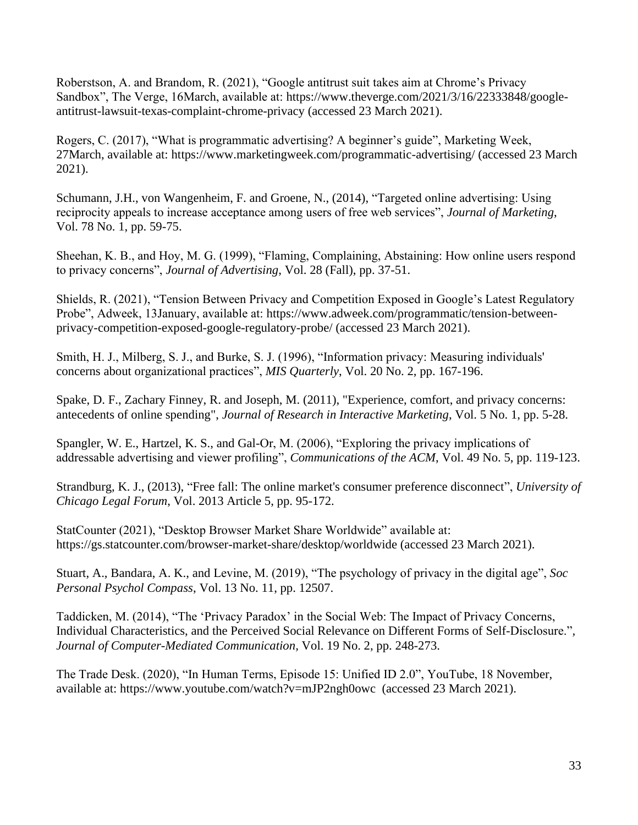Roberstson, A. and Brandom, R. (2021), "Google antitrust suit takes aim at Chrome's Privacy Sandbox", The Verge, 16March, available at: [https://www.theverge.com/2021/3/16/22333848/google](https://www.theverge.com/2021/3/16/22333848/google-antitrust-lawsuit-texas-complaint-chrome-privacy)[antitrust-lawsuit-texas-complaint-chrome-privacy](https://www.theverge.com/2021/3/16/22333848/google-antitrust-lawsuit-texas-complaint-chrome-privacy) (accessed 23 March 2021).

Rogers, C. (2017), "What is programmatic advertising? A beginner's guide", Marketing Week, 27March, available at:<https://www.marketingweek.com/programmatic-advertising/> (accessed 23 March 2021).

Schumann, J.H., von Wangenheim, F. and Groene, N., (2014), "Targeted online advertising: Using reciprocity appeals to increase acceptance among users of free web services", *Journal of Marketing*, Vol. 78 No. 1, pp. 59-75.

Sheehan, K. B., and Hoy, M. G. (1999), "Flaming, Complaining, Abstaining: How online users respond to privacy concerns", *Journal of Advertising*, Vol. 28 (Fall), pp. 37-51.

Shields, R. (2021), "Tension Between Privacy and Competition Exposed in Google's Latest Regulatory Probe", Adweek, 13January, available at: [https://www.adweek.com/programmatic/tension-between](https://www.adweek.com/programmatic/tension-between-privacy-competition-exposed-google-regulatory-probe/)[privacy-competition-exposed-google-regulatory-probe/](https://www.adweek.com/programmatic/tension-between-privacy-competition-exposed-google-regulatory-probe/) (accessed 23 March 2021).

Smith, H. J., Milberg, S. J., and Burke, S. J. (1996), "Information privacy: Measuring individuals' concerns about organizational practices", *MIS Quarterly*, Vol. 20 No. 2, pp. 167-196.

Spake, D. F., Zachary Finney, R. and Joseph, M. (2011), "Experience, comfort, and privacy concerns: antecedents of online spending", *Journal of Research in Interactive Marketing*, Vol. 5 No. 1, pp. 5-28.

Spangler, W. E., Hartzel, K. S., and Gal-Or, M. (2006), "Exploring the privacy implications of addressable advertising and viewer profiling", *Communications of the ACM*, Vol. 49 No. 5, pp. 119-123.

Strandburg, K. J., (2013), "Free fall: The online market's consumer preference disconnect", *University of Chicago Legal Forum*, Vol. 2013 Article 5, pp. 95-172.

StatCounter (2021), "Desktop Browser Market Share Worldwide" available at: <https://gs.statcounter.com/browser-market-share/desktop/worldwide> (accessed 23 March 2021).

Stuart, A., Bandara, A. K., and Levine, M. (2019), "The psychology of privacy in the digital age", *Soc Personal Psychol Compass*, Vol. 13 No. 11, pp. 12507.

Taddicken, M. (2014), "The 'Privacy Paradox' in the Social Web: The Impact of Privacy Concerns, Individual Characteristics, and the Perceived Social Relevance on Different Forms of Self-Disclosure."*, Journal of Computer-Mediated Communication,* Vol. 19 No. 2, pp. 248-273.

The Trade Desk. (2020), "In Human Terms, Episode 15: Unified ID 2.0", YouTube, 18 November, available at:<https://www.youtube.com/watch?v=mJP2ngh0owc>(accessed 23 March 2021).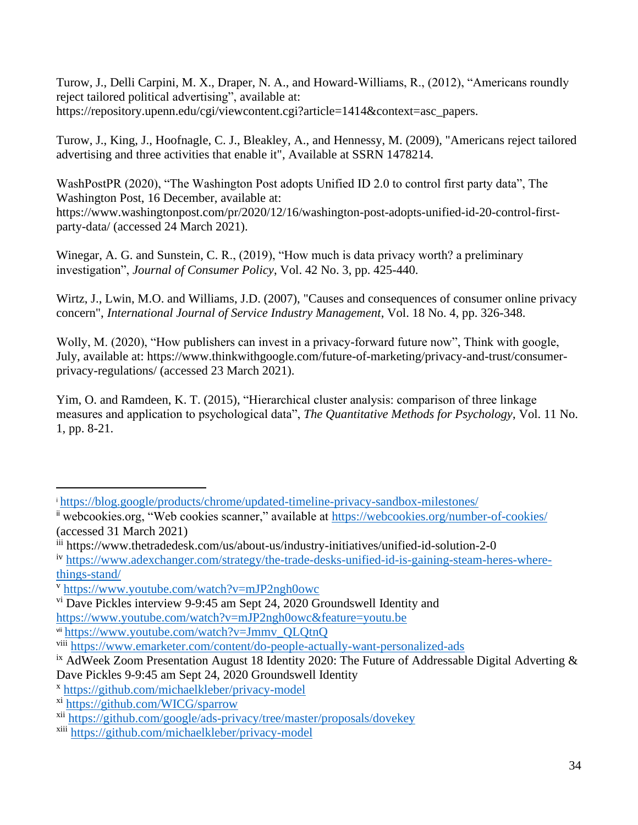Turow, J., Delli Carpini, M. X., Draper, N. A., and Howard-Williams, R., (2012), "Americans roundly reject tailored political advertising", available at: https://repository.upenn.edu/cgi/viewcontent.cgi?article=1414&context=asc\_papers.

Turow, J., King, J., Hoofnagle, C. J., Bleakley, A., and Hennessy, M. (2009), "Americans reject tailored advertising and three activities that enable it", Available at SSRN 1478214.

WashPostPR (2020), "The Washington Post adopts Unified ID 2.0 to control first party data", The Washington Post, 16 December, available at: [https://www.washingtonpost.com/pr/2020/12/16/washington-post-adopts-unified-id-20-control-first](https://www.washingtonpost.com/pr/2020/12/16/washington-post-adopts-unified-id-20-control-first-party-data/)[party-data/](https://www.washingtonpost.com/pr/2020/12/16/washington-post-adopts-unified-id-20-control-first-party-data/) (accessed 24 March 2021).

Winegar, A. G. and Sunstein, C. R., (2019), "How much is data privacy worth? a preliminary investigation", *Journal of Consumer Policy*, Vol. 42 No. 3, pp. 425-440.

Wirtz, J., Lwin, M.O. and Williams, J.D. (2007), "Causes and consequences of consumer online privacy concern", *International Journal of Service Industry Management*, Vol. 18 No. 4, pp. 326-348.

Wolly, M. (2020), "How publishers can invest in a privacy-forward future now", Think with google, July, available at: https://www.thinkwithgoogle.com/future-of-marketing/privacy-and-trust/consumerprivacy-regulations/ (accessed 23 March 2021).

Yim, O. and Ramdeen, K. T. (2015), "Hierarchical cluster analysis: comparison of three linkage measures and application to psychological data", *The Quantitative Methods for Psychology*, Vol. 11 No. 1, pp. 8-21.

<sup>i</sup> <https://blog.google/products/chrome/updated-timeline-privacy-sandbox-milestones/>

ii webcookies.org, "Web cookies scanner," available at<https://webcookies.org/number-of-cookies/> (accessed 31 March 2021)

iii https://www.thetradedesk.com/us/about-us/industry-initiatives/unified-id-solution-2-0

iv [https://www.adexchanger.com/strategy/the-trade-desks-unified-id-is-gaining-steam-heres-where](https://www.adexchanger.com/strategy/the-trade-desks-unified-id-is-gaining-steam-heres-where-things-stand/)[things-stand/](https://www.adexchanger.com/strategy/the-trade-desks-unified-id-is-gaining-steam-heres-where-things-stand/)

v <https://www.youtube.com/watch?v=mJP2ngh0owc>

vi Dave Pickles interview 9-9:45 am Sept 24, 2020 Groundswell Identity and

<https://www.youtube.com/watch?v=mJP2ngh0owc&feature=youtu.be>

vii [https://www.youtube.com/watch?v=Jmmv\\_QLQtnQ](https://www.youtube.com/watch?v=Jmmv_QLQtnQ)

viii <https://www.emarketer.com/content/do-people-actually-want-personalized-ads>

<sup>&</sup>lt;sup>ix</sup> AdWeek Zoom Presentation August 18 Identity 2020: The Future of Addressable Digital Adverting  $\&$ Dave Pickles 9-9:45 am Sept 24, 2020 Groundswell Identity

x <https://github.com/michaelkleber/privacy-model>

xi <https://github.com/WICG/sparrow>

xii <https://github.com/google/ads-privacy/tree/master/proposals/dovekey>

xiii <https://github.com/michaelkleber/privacy-model>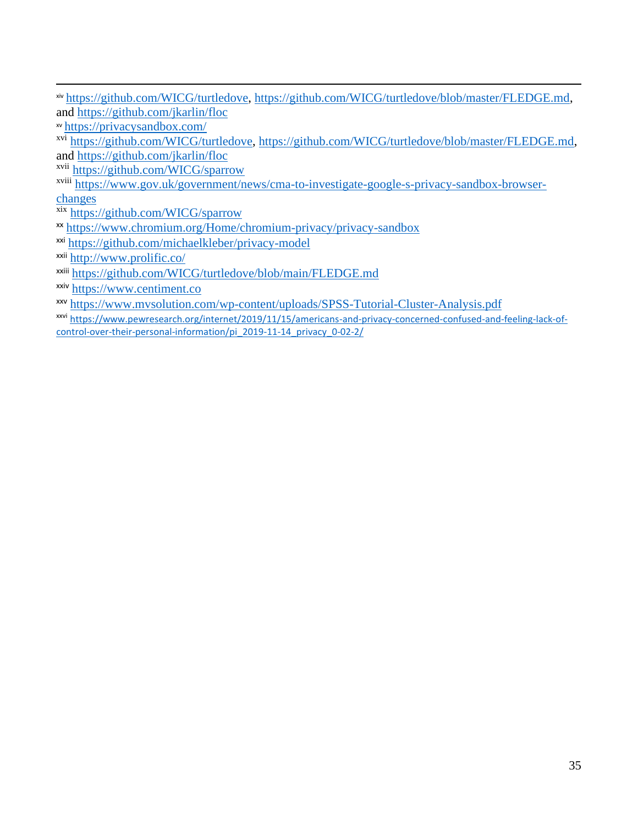|                                     | xiv https://github.com/WICG/turtledove, https://github.com/WICG/turtledove/blob/master/FLEDGE.md, |
|-------------------------------------|---------------------------------------------------------------------------------------------------|
| and https://github.com/jkarlin/floc |                                                                                                   |

xv <https://privacysandbox.com/>

xvi [https://github.com/WICG/turtledove,](https://github.com/WICG/turtledove) [https://github.com/WICG/turtledove/blob/master/FLEDGE.md,](https://github.com/WICG/turtledove/blob/master/FLEDGE.md) and<https://github.com/jkarlin/floc>

xvii <https://github.com/WICG/sparrow>

xviii [https://www.gov.uk/government/news/cma-to-investigate-google-s-privacy-sandbox-browser](https://www.gov.uk/government/news/cma-to-investigate-google-s-privacy-sandbox-browser-changes)[changes](https://www.gov.uk/government/news/cma-to-investigate-google-s-privacy-sandbox-browser-changes)

xix <https://github.com/WICG/sparrow>

- xx <https://www.chromium.org/Home/chromium-privacy/privacy-sandbox>
- xxi <https://github.com/michaelkleber/privacy-model>

xxii <http://www.prolific.co/>

xxiii <https://github.com/WICG/turtledove/blob/main/FLEDGE.md>

xxiv [https://www.centiment.co](https://www.centiment.co/)

xxv <https://www.mvsolution.com/wp-content/uploads/SPSS-Tutorial-Cluster-Analysis.pdf>

xxvi [https://www.pewresearch.org/internet/2019/11/15/americans-and-privacy-concerned-confused-and-feeling-lack-of](https://www.pewresearch.org/internet/2019/11/15/americans-and-privacy-concerned-confused-and-feeling-lack-of-control-over-their-personal-information/pi_2019-11-14_privacy_0-02-2/)[control-over-their-personal-information/pi\\_2019-11-14\\_privacy\\_0-02-2/](https://www.pewresearch.org/internet/2019/11/15/americans-and-privacy-concerned-confused-and-feeling-lack-of-control-over-their-personal-information/pi_2019-11-14_privacy_0-02-2/)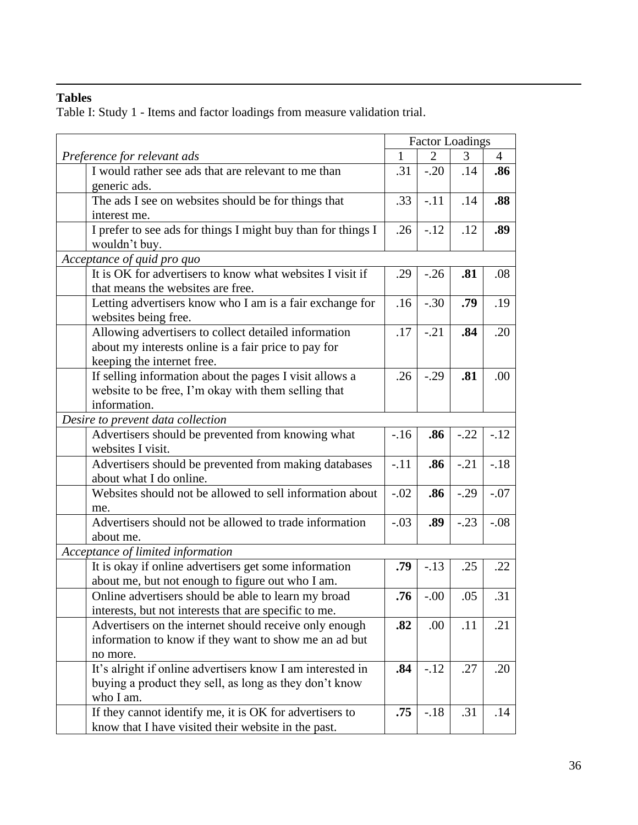## **Tables**

Table I: Study 1 - Items and factor loadings from measure validation trial.

|                                                              | <b>Factor Loadings</b><br>$\mathbf{1}$<br>$\overline{2}$<br>3 |         |        |                |
|--------------------------------------------------------------|---------------------------------------------------------------|---------|--------|----------------|
| Preference for relevant ads                                  |                                                               |         |        | $\overline{4}$ |
| I would rather see ads that are relevant to me than          | .31                                                           | $-.20$  | .14    | .86            |
| generic ads.                                                 |                                                               |         |        |                |
| The ads I see on websites should be for things that          | .33                                                           | $-.11$  | .14    | .88            |
| interest me.                                                 |                                                               |         |        |                |
| I prefer to see ads for things I might buy than for things I | .26                                                           | $-.12$  | .12    | .89            |
| wouldn't buy.                                                |                                                               |         |        |                |
| Acceptance of quid pro quo                                   |                                                               |         |        |                |
| It is OK for advertisers to know what websites I visit if    | .29                                                           | $-0.26$ | .81    | .08            |
| that means the websites are free.                            |                                                               |         |        |                |
| Letting advertisers know who I am is a fair exchange for     | .16                                                           | $-.30$  | .79    | .19            |
| websites being free.                                         |                                                               |         |        |                |
| Allowing advertisers to collect detailed information         | .17                                                           | $-.21$  | .84    | .20            |
| about my interests online is a fair price to pay for         |                                                               |         |        |                |
| keeping the internet free.                                   |                                                               |         |        |                |
| If selling information about the pages I visit allows a      | .26                                                           | $-.29$  | .81    | .00            |
| website to be free, I'm okay with them selling that          |                                                               |         |        |                |
| information.                                                 |                                                               |         |        |                |
| Desire to prevent data collection                            |                                                               |         |        |                |
| Advertisers should be prevented from knowing what            | $-16$                                                         | .86     | $-.22$ | $-12$          |
| websites I visit.                                            |                                                               |         |        |                |
| Advertisers should be prevented from making databases        | $-.11$                                                        | .86     | $-.21$ | $-.18$         |
| about what I do online.                                      |                                                               |         |        |                |
| Websites should not be allowed to sell information about     | $-.02$                                                        | .86     | $-.29$ | $-.07$         |
| me.                                                          |                                                               |         |        |                |
| Advertisers should not be allowed to trade information       | $-.03$                                                        | .89     | $-.23$ | $-.08$         |
| about me.                                                    |                                                               |         |        |                |
| Acceptance of limited information                            |                                                               |         |        |                |
| It is okay if online advertisers get some information        | .79                                                           | $-.13$  | .25    | .22            |
| about me, but not enough to figure out who I am.             |                                                               |         |        |                |
| Online advertisers should be able to learn my broad          | .76                                                           | $-.00$  | .05    | .31            |
| interests, but not interests that are specific to me.        |                                                               |         |        |                |
| Advertisers on the internet should receive only enough       | .82                                                           | .00     | .11    | .21            |
| information to know if they want to show me an ad but        |                                                               |         |        |                |
| no more.                                                     |                                                               |         |        |                |
| It's alright if online advertisers know I am interested in   | .84                                                           | $-.12$  | .27    | .20            |
| buying a product they sell, as long as they don't know       |                                                               |         |        |                |
| who I am.                                                    |                                                               |         |        |                |
| If they cannot identify me, it is OK for advertisers to      | .75                                                           | $-.18$  | .31    | .14            |
| know that I have visited their website in the past.          |                                                               |         |        |                |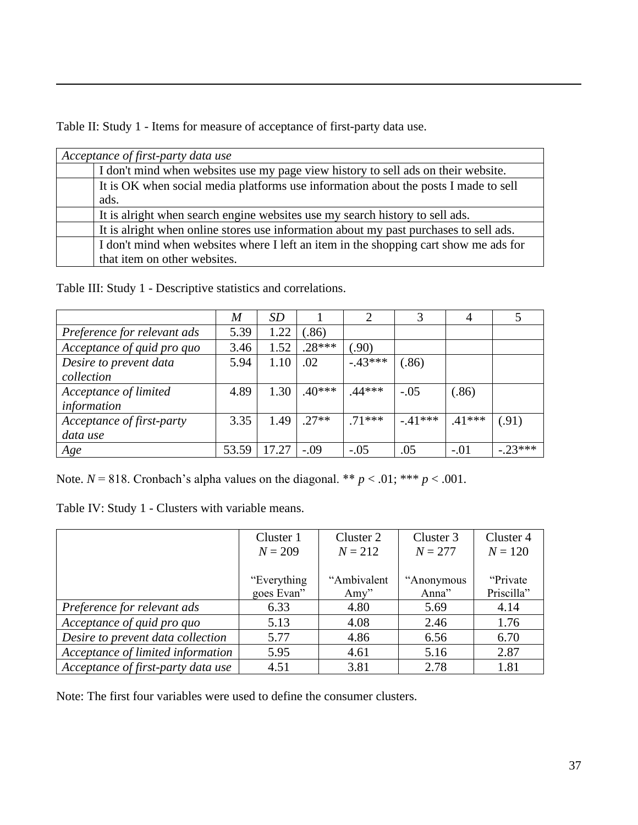Table II: Study 1 - Items for measure of acceptance of first-party data use.

| Acceptance of first-party data use                                                    |
|---------------------------------------------------------------------------------------|
| I don't mind when websites use my page view history to sell ads on their website.     |
| It is OK when social media platforms use information about the posts I made to sell   |
| ads.                                                                                  |
| It is alright when search engine websites use my search history to sell ads.          |
| It is alright when online stores use information about my past purchases to sell ads. |
| I don't mind when websites where I left an item in the shopping cart show me ads for  |
| that item on other websites.                                                          |

Table III: Study 1 - Descriptive statistics and correlations.

|                             | $\boldsymbol{M}$ | <b>SD</b> |          | $\overline{2}$ | 3        | 4        |           |
|-----------------------------|------------------|-----------|----------|----------------|----------|----------|-----------|
| Preference for relevant ads | 5.39             | 1.22      | (.86)    |                |          |          |           |
| Acceptance of quid pro quo  | 3.46             | 1.52      | $.28***$ | (0.90)         |          |          |           |
| Desire to prevent data      | 5.94             | 1.10      | .02      | $-.43***$      | (.86)    |          |           |
| collection                  |                  |           |          |                |          |          |           |
| Acceptance of limited       | 4.89             | 1.30      | $.40***$ | .44***         | $-.05$   | (.86)    |           |
| information                 |                  |           |          |                |          |          |           |
| Acceptance of first-party   | 3.35             | 1.49      | $.27**$  | $.71***$       | $-41***$ | $.41***$ | (.91)     |
| data use                    |                  |           |          |                |          |          |           |
| Age                         | 53.59            | 17.27     | $-.09$   | $-.05$         | .05      | $-.01$   | $-.23***$ |

Note.  $N = 818$ . Cronbach's alpha values on the diagonal. \*\*  $p < .01$ ; \*\*\*  $p < .001$ .

Table IV: Study 1 - Clusters with variable means.

|                                    | Cluster 1    | Cluster 2    | Cluster 3  | Cluster 4  |
|------------------------------------|--------------|--------------|------------|------------|
|                                    | $N = 209$    | $N = 212$    | $N = 277$  | $N = 120$  |
|                                    |              |              |            |            |
|                                    | "Everything" | "Ambivalent" | "Anonymous | "Private"  |
|                                    | goes Evan"   | Amy"         | Anna"      | Priscilla" |
| Preference for relevant ads        | 6.33         | 4.80         | 5.69       | 4.14       |
| Acceptance of quid pro quo         | 5.13         | 4.08         | 2.46       | 1.76       |
| Desire to prevent data collection  | 5.77         | 4.86         | 6.56       | 6.70       |
| Acceptance of limited information  | 5.95         | 4.61         | 5.16       | 2.87       |
| Acceptance of first-party data use | 4.51         | 3.81         | 2.78       | 1.81       |

Note: The first four variables were used to define the consumer clusters.